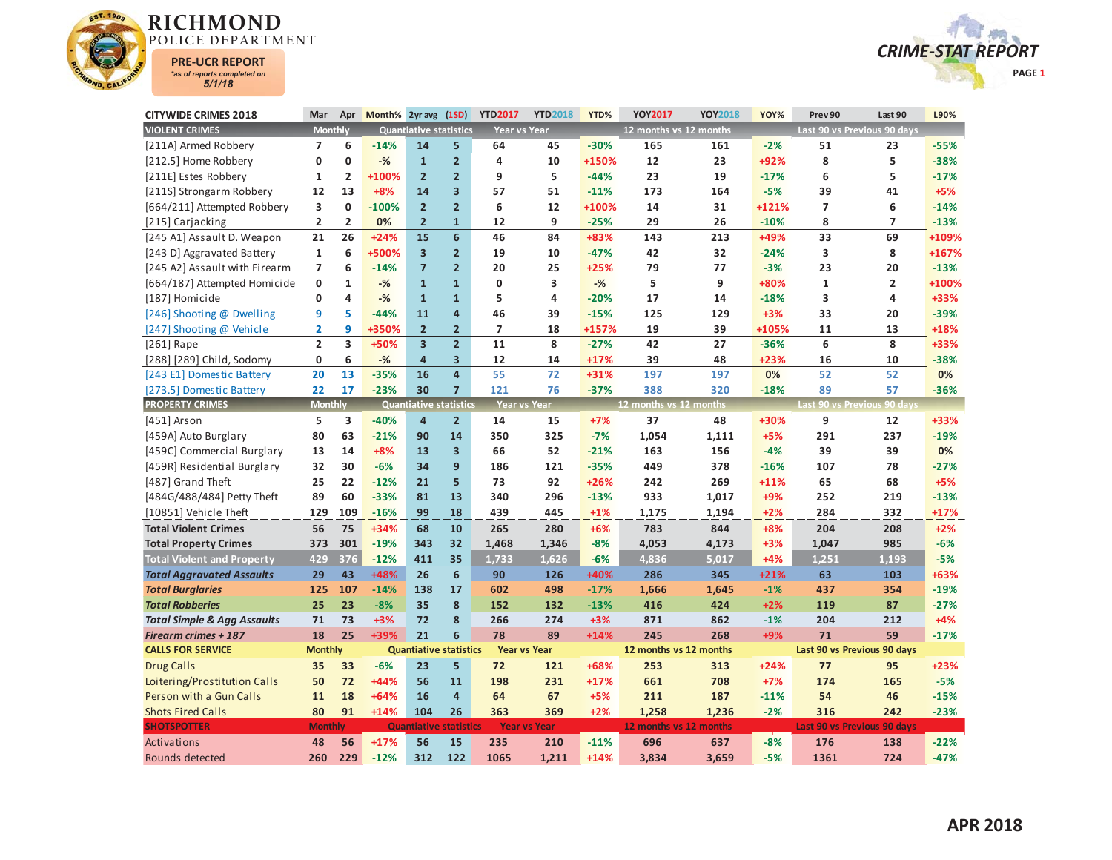



| <b>CITYWIDE CRIMES 2018</b>            | Mar                      | Apr                     | Month% 2yr avg (1SD) |                               |                         | <b>YTD2017</b>           | <b>YTD2018</b>      | YTD%   | <b>YOY2017</b>         | <b>YOY2018</b> | YOY%   | Prev 90        | Last 90                     | L90%   |
|----------------------------------------|--------------------------|-------------------------|----------------------|-------------------------------|-------------------------|--------------------------|---------------------|--------|------------------------|----------------|--------|----------------|-----------------------------|--------|
| <b>VIOLENT CRIMES</b>                  | <b>Monthly</b>           |                         |                      | <b>Quantiative statistics</b> |                         | <b>Year vs Year</b>      |                     |        | 12 months vs 12 months |                |        |                | Last 90 vs Previous 90 days |        |
| [211A] Armed Robbery                   | $\overline{7}$           | 6                       | $-14%$               | 14                            | 5                       | 64                       | 45                  | $-30%$ | 165                    | 161            | $-2%$  | 51             | 23                          | $-55%$ |
| [212.5] Home Robbery                   | 0                        | $\mathbf{0}$            | $-%$                 | $\mathbf{1}$                  | $\overline{2}$          | 4                        | 10                  | +150%  | 12                     | 23             | +92%   | 8              | 5                           | $-38%$ |
| [211E] Estes Robbery                   | $\mathbf{1}$             | $\overline{2}$          | +100%                | $\overline{2}$                | $\overline{2}$          | 9                        | 5                   | $-44%$ | 23                     | 19             | $-17%$ | 6              | 5.                          | $-17%$ |
| [211S] Strongarm Robbery               | 12                       | 13                      | $+8%$                | 14                            | $\overline{\mathbf{3}}$ | 57                       | 51                  | $-11%$ | 173                    | 164            | $-5%$  | 39             | 41                          | $+5%$  |
| [664/211] Attempted Robbery            | 3                        | $\mathbf 0$             | $-100%$              | $\overline{2}$                | $\overline{2}$          | 6                        | 12                  | +100%  | 14                     | 31             | +121%  | $\overline{7}$ | 6                           | $-14%$ |
| [215] Carjacking                       | $\overline{2}$           | $\overline{2}$          | 0%                   | $\overline{2}$                | $\mathbf{1}$            | 12                       | 9                   | $-25%$ | 29                     | 26             | $-10%$ | 8              | $\overline{7}$              | $-13%$ |
| [245 A1] Assault D. Weapon             | 21                       | 26                      | $+24%$               | 15                            | $6\overline{6}$         | 46                       | 84                  | +83%   | 143                    | 213            | +49%   | 33             | 69                          | +109%  |
| [243 D] Aggravated Battery             | $\mathbf{1}$             | 6                       | +500%                | $\overline{\mathbf{3}}$       | $\overline{2}$          | 19                       | 10                  | $-47%$ | 42                     | 32             | $-24%$ | 3              | 8                           | +167%  |
| [245 A2] Assault with Firearm          | $\overline{\phantom{a}}$ | 6                       | $-14%$               | $\overline{7}$                | $\overline{2}$          | 20                       | 25                  | $+25%$ | 79                     | 77             | $-3%$  | 23             | 20                          | $-13%$ |
| [664/187] Attempted Homicide           | 0                        | $\mathbf{1}$            | $-%$                 | $\mathbf{1}$                  | $\mathbf{1}$            | 0                        | 3                   | $-%$   | 5                      | 9              | +80%   | $\mathbf{1}$   | $\overline{2}$              | +100%  |
| [187] Homicide                         | 0                        | 4                       | $-%$                 | $\overline{1}$                | $\overline{1}$          | 5                        | 4                   | $-20%$ | 17                     | 14             | $-18%$ | 3              | 4                           | +33%   |
| [246] Shooting @ Dwelling              | 9                        | 5                       | $-44%$               | 11                            | $\overline{\mathbf{4}}$ | 46                       | 39                  | $-15%$ | 125                    | 129            | $+3%$  | 33             | 20                          | $-39%$ |
| [247] Shooting @ Vehicle               | $\overline{\mathbf{2}}$  | 9                       | +350%                | $\overline{2}$                | $\overline{2}$          | $\overline{\phantom{a}}$ | 18                  | +157%  | 19                     | 39             | +105%  | 11             | 13                          | $+18%$ |
| [261] Rape                             | $\overline{2}$           | $\overline{\mathbf{3}}$ | +50%                 | $\overline{\mathbf{3}}$       | $\overline{\mathbf{2}}$ | 11                       | 8                   | $-27%$ | 42                     | 27             | $-36%$ | 6              | 8                           | +33%   |
| [288] [289] Child, Sodomy              | 0                        | 6                       | $-%$                 | $\overline{\mathbf{4}}$       | 3                       | 12                       | 14                  | $+17%$ | 39                     | 48             | $+23%$ | 16             | 10                          | -38%   |
| [243 E1] Domestic Battery              | 20                       | 13                      | $-35%$               | 16                            | $\overline{\mathbf{4}}$ | 55                       | $72$                | $+31%$ | 197                    | 197            | 0%     | 52             | 52                          | 0%     |
| [273.5] Domestic Battery               | 22                       | 17                      | $-23%$               | 30                            | $\overline{7}$          | 121                      | 76                  | $-37%$ | 388                    | 320            | $-18%$ | 89             | 57                          | $-36%$ |
| <b>PROPERTY CRIMES</b>                 | <b>Monthly</b>           |                         |                      | <b>Quantiative statistics</b> |                         | <b>Year vs Year</b>      |                     |        | 12 months vs 12 months |                |        |                | Last 90 vs Previous 90 days |        |
| [451] Arson                            | 5                        | 3                       | $-40%$               | 4                             | $\overline{2}$          | 14                       | 15                  | $+7%$  | 37                     | 48             | +30%   | 9              | 12                          | +33%   |
| [459A] Auto Burglary                   | 80                       | 63                      | $-21%$               | 90                            | 14                      | 350                      | 325                 | $-7%$  | 1,054                  | 1,111          | $+5%$  | 291            | 237                         | $-19%$ |
| [459C] Commercial Burglary             | 13                       | 14                      | $+8%$                | 13                            | $\overline{\mathbf{3}}$ | 66                       | 52                  | $-21%$ | 163                    | 156            | $-4%$  | 39             | 39                          | 0%     |
| [459R] Residential Burglary            | 32                       | 30                      | $-6%$                | 34                            | 9                       | 186                      | 121                 | $-35%$ | 449                    | 378            | $-16%$ | 107            | 78                          | $-27%$ |
| [487] Grand Theft                      | 25                       | 22                      | $-12%$               | 21                            | 5                       | 73                       | 92                  | $+26%$ | 242                    | 269            | $+11%$ | 65             | 68                          | $+5%$  |
| [484G/488/484] Petty Theft             | 89                       | 60                      | $-33%$               | 81                            | 13                      | 340                      | 296                 | $-13%$ | 933                    | 1,017          | $+9%$  | 252            | 219                         | $-13%$ |
| [10851] Vehicle Theft                  | 129                      | 109                     | $-16%$               | 99                            | 18                      | 439                      | 445                 | $+1%$  | 1,175                  | 1,194          | $+2%$  | 284            | 332                         | $+17%$ |
| <b>Total Violent Crimes</b>            | 56                       | 75                      | +34%                 | 68                            | 10                      | 265                      | 280                 | $+6%$  | 783                    | 844            | $+8%$  | 204            | 208                         | $+2%$  |
| <b>Total Property Crimes</b>           | 373                      | 301                     | $-19%$               | 343                           | 32                      | 1,468                    | 1,346               | $-8%$  | 4,053                  | 4,173          | $+3%$  | 1,047          | 985                         | $-6%$  |
| <b>Total Violent and Property</b>      | 429                      | 376                     | $-12%$               | 411                           | 35                      | 1,733                    | 1,626               | $-6%$  | 4,836                  | 5,017          | $+4%$  | 1.251          | 1,193                       | $-5%$  |
| <b>Total Aggravated Assaults</b>       | 29                       | 43                      | +48%                 | 26                            | $6\phantom{1}$          | 90                       | 126                 | +40%   | 286                    | 345            | $+21%$ | 63             | 103                         | +63%   |
| <b>Total Burglaries</b>                | 125                      | 107                     | $-14%$               | 138                           | 17                      | 602                      | 498                 | $-17%$ | 1,666                  | 1,645          | $-1%$  | 437            | 354                         | $-19%$ |
| <b>Total Robberies</b>                 | 25                       | 23                      | $-8%$                | 35                            | 8                       | 152                      | 132                 | $-13%$ | 416                    | 424            | $+2%$  | 119            | 87                          | $-27%$ |
| <b>Total Simple &amp; Agg Assaults</b> | 71                       | 73                      | $+3%$                | 72                            | 8                       | 266                      | 274                 | $+3%$  | 871                    | 862            | $-1%$  | 204            | 212                         | $+4%$  |
| <b>Firearm crimes + 187</b>            | 18                       | 25                      | +39%                 | 21                            | 6                       | 78                       | 89                  | $+14%$ | 245                    | 268            | $+9%$  | 71             | 59                          | $-17%$ |
| <b>CALLS FOR SERVICE</b>               | <b>Monthly</b>           |                         |                      | <b>Quantiative statistics</b> |                         | <b>Year vs Year</b>      |                     |        | 12 months vs 12 months |                |        |                | Last 90 vs Previous 90 days |        |
| <b>Drug Calls</b>                      | 35                       | 33                      | $-6%$                | 23                            | 5                       | 72                       | 121                 | +68%   | 253                    | 313            | $+24%$ | 77             | 95                          | $+23%$ |
| Loitering/Prostitution Calls           | 50                       | 72                      | $+44%$               | 56                            | 11                      | 198                      | 231                 | $+17%$ | 661                    | 708            | $+7%$  | 174            | 165                         | $-5%$  |
| Person with a Gun Calls                | 11                       | 18                      | $+64%$               | 16                            | 4                       | 64                       | 67                  | $+5%$  | 211                    | 187            | $-11%$ | 54             | 46                          | $-15%$ |
| <b>Shots Fired Calls</b>               | 80                       | 91                      | $+14%$               | 104                           | 26                      | 363                      | 369                 | $+2%$  | 1,258                  | 1,236          | $-2%$  | 316            | 242                         | $-23%$ |
| <b>SHOTSPOTTER</b>                     | <b>Monthly</b>           |                         |                      | <b>Quantiative</b>            | <b>statistics</b>       |                          | <b>Year vs Year</b> |        | 12 months vs 12 months |                |        |                | Last 90 vs Previous 90 days |        |
| Activations                            | 48                       | 56                      | $+17%$               | 56                            | 15                      | 235                      | 210                 | $-11%$ | 696                    | 637            | $-8%$  | 176            | 138                         | $-22%$ |
| Rounds detected                        | 260                      | 229                     | $-12%$               | 312                           | 122                     | 1065                     | 1,211               | $+14%$ | 3.834                  | 3.659          | $-5%$  | 1361           | 724                         | $-47%$ |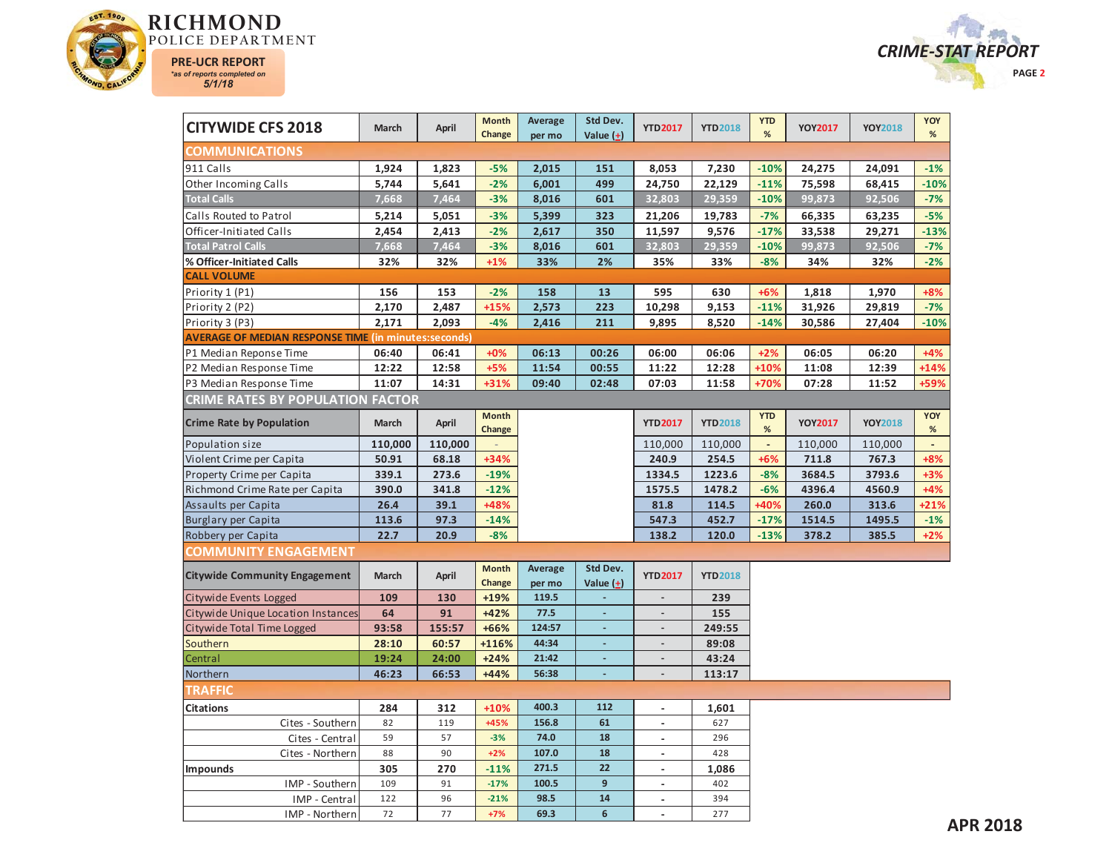



| <b>CITYWIDE CFS 2018</b>                                    | March   | April   | <b>Month</b><br>Change | Average<br>per mo | Std Dev.<br>Value $(+)$  | <b>YTD2017</b>           | <b>YTD2018</b> | <b>YTD</b><br>% | <b>YOY2017</b> | <b>YOY2018</b> | YOY<br>$\%$    |
|-------------------------------------------------------------|---------|---------|------------------------|-------------------|--------------------------|--------------------------|----------------|-----------------|----------------|----------------|----------------|
| <b>COMMUNICATIONS</b>                                       |         |         |                        |                   |                          |                          |                |                 |                |                |                |
| 911 Calls                                                   | 1,924   | 1,823   | $-5%$                  | 2,015             | 151                      | 8,053                    | 7,230          | $-10%$          | 24,275         | 24,091         | $-1%$          |
| Other Incoming Calls                                        | 5,744   | 5,641   | $-2%$                  | 6,001             | 499                      | 24,750                   | 22,129         | $-11%$          | 75,598         | 68,415         | $-10%$         |
| <b>Total Calls</b>                                          | 7,668   | 7,464   | $-3%$                  | 8,016             | 601                      | 32,803                   | 29,359         | $-10%$          | 99,873         | 92,506         | $-7%$          |
| Calls Routed to Patrol                                      | 5,214   | 5,051   | $-3%$                  | 5,399             | 323                      | 21,206                   | 19,783         | $-7%$           | 66,335         | 63,235         | $-5%$          |
| Officer-Initiated Calls                                     | 2,454   | 2,413   | $-2%$                  | 2,617             | 350                      | 11,597                   | 9,576          | $-17%$          | 33,538         | 29,271         | $-13%$         |
| <b>Total Patrol Calls</b>                                   | 7,668   | 7,464   | $-3%$                  | 8,016             | 601                      | 32,803                   | 29,359         | $-10%$          | 99,873         | 92,506         | $-7%$          |
| % Officer-Initiated Calls                                   | 32%     | 32%     | $+1%$                  | 33%               | 2%                       | 35%                      | 33%            | $-8%$           | 34%            | 32%            | $-2%$          |
| <b>CALL VOLUME</b>                                          |         |         |                        |                   |                          |                          |                |                 |                |                |                |
| Priority 1 (P1)                                             | 156     | 153     | $-2%$                  | 158               | 13                       | 595                      | 630            | $+6%$           | 1,818          | 1,970          | $+8%$          |
| Priority 2 (P2)                                             | 2,170   | 2,487   | $+15%$                 | 2,573             | 223                      | 10,298                   | 9,153          | $-11%$          | 31,926         | 29,819         | $-7%$          |
| Priority 3 (P3)                                             | 2,171   | 2,093   | $-4%$                  | 2,416             | 211                      | 9,895                    | 8,520          | $-14%$          | 30,586         | 27,404         | $-10%$         |
| <b>AVERAGE OF MEDIAN RESPONSE TIME (in minutes:seconds)</b> |         |         |                        |                   |                          |                          |                |                 |                |                |                |
| P1 Median Reponse Time                                      | 06:40   | 06:41   | $+0%$                  | 06:13             | 00:26                    | 06:00                    | 06:06          | $+2%$           | 06:05          | 06:20          | $+4%$          |
| P2 Median Response Time                                     | 12:22   | 12:58   | $+5%$                  | 11:54             | 00:55                    | 11:22                    | 12:28          | $+10%$          | 11:08          | 12:39          | $+14%$         |
| P3 Median Response Time                                     | 11:07   | 14:31   | +31%                   | 09:40             | 02:48                    | 07:03                    | 11:58          | +70%            | 07:28          | 11:52          | +59%           |
| <b>CRIME RATES BY POPULATION FACTOR</b>                     |         |         |                        |                   |                          |                          |                |                 |                |                |                |
| <b>Crime Rate by Population</b>                             | March   | April   | <b>Month</b><br>Change |                   |                          | <b>YTD2017</b>           | <b>YTD2018</b> | <b>YTD</b><br>% | <b>YOY2017</b> | <b>YOY2018</b> | YOY<br>$\%$    |
| Population size                                             | 110,000 | 110,000 |                        |                   |                          | 110,000                  | 110,000        | $\omega$        | 110,000        | 110,000        | $\blacksquare$ |
| Violent Crime per Capita                                    | 50.91   | 68.18   | +34%                   |                   |                          | 240.9                    | 254.5          | $+6%$           | 711.8          | 767.3          | $+8%$          |
| Property Crime per Capita                                   | 339.1   | 273.6   | $-19%$                 |                   |                          | 1334.5                   | 1223.6         | $-8%$           | 3684.5         | 3793.6         | $+3%$          |
| Richmond Crime Rate per Capita                              | 390.0   | 341.8   | $-12%$                 |                   |                          | 1575.5                   | 1478.2         | $-6%$           | 4396.4         | 4560.9         | $+4%$          |
| Assaults per Capita                                         | 26.4    | 39.1    | +48%                   |                   |                          | 81.8                     | 114.5          | +40%            | 260.0          | 313.6          | $+21%$         |
| Burglary per Capita                                         | 113.6   | 97.3    | $-14%$                 |                   |                          | 547.3                    | 452.7          | $-17%$          | 1514.5         | 1495.5         | $-1%$          |
| Robbery per Capita                                          | 22.7    | 20.9    | $-8%$                  |                   |                          | 138.2                    | 120.0          | $-13%$          | 378.2          | 385.5          | $+2%$          |
| COMMUNITY ENGAGEMENT                                        |         |         |                        |                   |                          |                          |                |                 |                |                |                |
| <b>Citywide Community Engagement</b>                        | March   | April   | <b>Month</b><br>Change | Average<br>per mo | Std Dev.<br>Value $(+)$  | <b>YTD2017</b>           | <b>YTD2018</b> |                 |                |                |                |
| Citywide Events Logged                                      | 109     | 130     | +19%                   | 119.5             | $\Box$                   | $\blacksquare$           | 239            |                 |                |                |                |
| Citywide Unique Location Instances                          | 64      | 91      | $+42%$                 | 77.5              | $\overline{\phantom{a}}$ | $\overline{a}$           | 155            |                 |                |                |                |
| Citywide Total Time Logged                                  | 93:58   | 155:57  | +66%                   | 124:57            | ä,                       | $\blacksquare$           | 249:55         |                 |                |                |                |
| Southern                                                    | 28:10   | 60:57   | +116%                  | 44:34             | ٠                        | $\overline{\phantom{a}}$ | 89:08          |                 |                |                |                |
| Central                                                     | 19:24   | 24:00   | $+24%$                 | 21:42             | $\overline{\phantom{a}}$ |                          | 43:24          |                 |                |                |                |
| Northern                                                    | 46:23   | 66:53   | $+44%$                 | 56:38             | $\overline{\phantom{a}}$ | $\overline{\phantom{a}}$ | 113:17         |                 |                |                |                |
| <b>TRAFFIC</b>                                              |         |         |                        |                   |                          |                          |                |                 |                |                |                |
| <b>Citations</b>                                            | 284     | 312     | $+10%$                 | 400.3             | 112                      | $\blacksquare$           | 1,601          |                 |                |                |                |
| Cites - Southern                                            | 82      | 119     | +45%                   | 156.8             | 61                       | $\overline{\phantom{a}}$ | 627            |                 |                |                |                |
| Cites - Central                                             | 59      | 57      | $-3%$                  | 74.0              | 18                       | $\overline{\phantom{a}}$ | 296            |                 |                |                |                |
| Cites - Northern                                            | 88      | 90      | $+2%$                  | 107.0             | 18                       | $\blacksquare$           | 428            |                 |                |                |                |
| <b>Impounds</b>                                             | 305     | 270     | $-11%$                 | 271.5             | 22                       | $\overline{\phantom{a}}$ | 1,086          |                 |                |                |                |
| IMP - Southern                                              | 109     | 91      | $-17%$                 | 100.5             | 9                        | $\overline{a}$           | 402            |                 |                |                |                |
| IMP - Central                                               | 122     | 96      | $-21%$                 | 98.5              | 14                       | $\overline{a}$           | 394            |                 |                |                |                |
| IMP - Northern                                              | 72      | 77      | $+7%$                  | 69.3              | 6                        |                          | 277            |                 |                |                |                |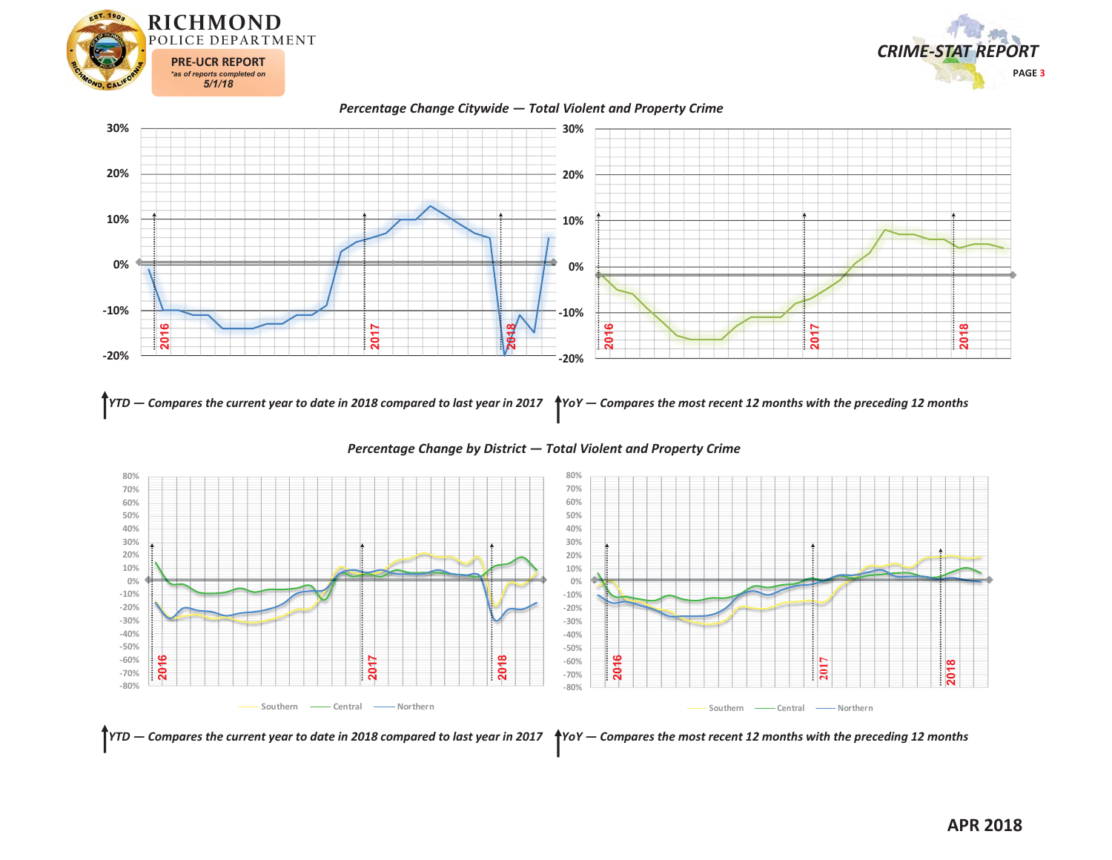







YTD — Compares the current year to date in 2018 compared to last year in 2017  $\,$  \*YoY — Compares the most recent 12 months with the preceding 12 months



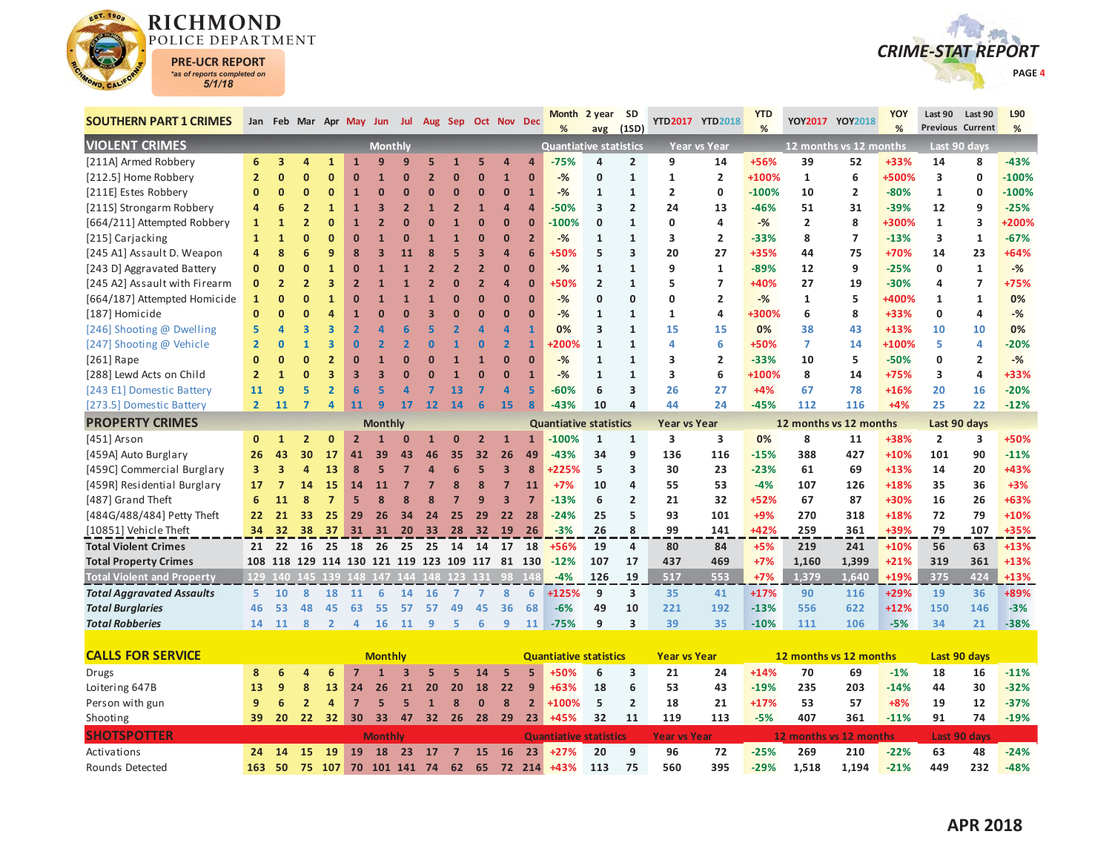

Rounds Detected



| <b>SOUTHERN PART 1 CRIMES</b>     |                | Jan Feb Mar Apr May Jun Jul Aug Sep Oct Nov Dec |                |                 |                |                |                |                |                |                |                |                | <b>Month</b><br>%             | 2 year<br>avg  | <b>SD</b><br>(1SD)      |                     | YTD2017 YTD2018         | <b>YTD</b><br>% |                        | YOY2017 YOY2018 | YOY<br>% | Last 90        | Last 90<br><b>Previous Current</b> | L90<br>% |
|-----------------------------------|----------------|-------------------------------------------------|----------------|-----------------|----------------|----------------|----------------|----------------|----------------|----------------|----------------|----------------|-------------------------------|----------------|-------------------------|---------------------|-------------------------|-----------------|------------------------|-----------------|----------|----------------|------------------------------------|----------|
| <b>VIOLENT CRIMES</b>             |                |                                                 |                |                 |                | <b>Monthly</b> |                |                |                |                |                |                | <b>Quantiative statistics</b> |                |                         |                     | <b>Year vs Year</b>     |                 | 12 months vs 12 months |                 |          |                | Last 90 days                       |          |
| [211A] Armed Robbery              | 6              | 3                                               | 4              | $\mathbf{1}$    | $\mathbf{1}$   | 9              | q              | 5              |                |                | Δ              |                | $-75%$                        | 4              | $\overline{2}$          | 9                   | 14                      | +56%            | 39                     | 52              | +33%     | 14             | 8                                  | $-43%$   |
| [212.5] Home Robbery              | $\overline{2}$ | $\Omega$                                        | $\mathbf{0}$   | $\mathbf{0}$    | $\bf{0}$       | 1              | $\Omega$       | $\overline{2}$ | $\Omega$       | $\mathbf{0}$   | $\mathbf{1}$   | $\Omega$       | $-$ %                         | $\mathbf 0$    | $\mathbf{1}$            | $\mathbf{1}$        | $\overline{2}$          | +100%           | $\mathbf{1}$           | 6               | +500%    | 3              | 0                                  | $-100%$  |
| [211E] Estes Robbery              | $\mathbf{0}$   | $\mathbf 0$                                     | $\mathbf{0}$   | 0               | $\mathbf{1}$   | $\mathbf{0}$   | Ω              | $\Omega$       | O              | $\Omega$       | $\bf{0}$       | 1              | $-%$                          | 1              | 1                       | 2                   | 0                       | $-100%$         | 10                     | $\overline{2}$  | $-80%$   | 1              | 0                                  | $-100%$  |
| [211S] Strongarm Robbery          | 4              | 6                                               | $\overline{2}$ | $\mathbf{1}$    | $\mathbf{1}$   | 3              | $\overline{2}$ |                | $\overline{2}$ | $\mathbf{1}$   | $\overline{a}$ |                | $-50%$                        | 3              | $\overline{2}$          | 24                  | 13                      | $-46%$          | 51                     | 31              | $-39%$   | 12             | 9                                  | $-25%$   |
| [664/211] Attempted Robbery       | $\mathbf{1}$   | 1                                               | $\overline{2}$ | 0               | $\mathbf{1}$   | $\overline{2}$ |                |                |                | $\bf{0}$       | $\bf{0}$       | $\Omega$       | $-100%$                       | 0              | $\mathbf{1}$            | 0                   | 4                       | $-%$            | 2                      | 8               | +300%    | 1              | 3                                  | +200%    |
| [215] Carjacking                  | $\mathbf{1}$   | $\mathbf{1}$                                    | $\mathbf{0}$   | $\mathbf{0}$    | $\mathbf{0}$   |                | 0              |                |                | n              | $\Omega$       | $\overline{2}$ | $-$ %                         | $\mathbf{1}$   | $\mathbf{1}$            | 3                   | $\overline{2}$          | $-33%$          | 8                      | $\overline{7}$  | $-13%$   | 3              | $\mathbf{1}$                       | $-67%$   |
| [245 A1] Assault D. Weapon        | 4              | 8                                               | 6              | 9               | 8              | 3              | 11             | 8              |                | 3              | $\overline{a}$ | 6              | +50%                          | 5              | 3                       | 20                  | 27                      | +35%            | 44                     | 75              | +70%     | 14             | 23                                 | $+64%$   |
| [243 D] Aggravated Battery        | $\mathbf{0}$   | $\mathbf{0}$                                    | $\mathbf{0}$   | $\overline{1}$  | $\mathbf{0}$   |                |                | $\overline{2}$ | $\overline{2}$ | $\overline{2}$ | $\mathbf{0}$   | $\overline{0}$ | $-%$                          | $\mathbf{1}$   | $\mathbf{1}$            | 9                   | $\mathbf{1}$            | $-89%$          | 12                     | 9               | $-25%$   | 0              | $\mathbf{1}$                       | $-$ %    |
| [245 A2] Assault with Firearm     | $\mathbf 0$    | $\overline{2}$                                  | $\overline{2}$ | 3               | $\overline{2}$ |                |                | $\overline{2}$ |                |                | 4              | $\Omega$       | +50%                          | $\overline{2}$ | $\mathbf{1}$            | 5                   | $\overline{7}$          | +40%            | 27                     | 19              | $-30%$   | 4              | $\overline{7}$                     | +75%     |
| [664/187] Attempted Homicide      | $\mathbf{1}$   | $\Omega$                                        | $\mathbf{0}$   | $\mathbf{1}$    | $\mathbf{0}$   |                |                |                |                | n              | $\Omega$       | $\Omega$       | $-%$                          | $\mathbf 0$    | $\mathbf 0$             | 0                   | $\overline{2}$          | $-$ %           | $\mathbf{1}$           | 5               | +400%    | $\mathbf{1}$   | $\mathbf{1}$                       | 0%       |
| [187] Homicide                    | $\mathbf{0}$   | $\Omega$                                        | $\mathbf{0}$   | 4               | $\mathbf{1}$   | ŋ              | n              | 3              |                | $\mathbf{0}$   | $\Omega$       | $\Omega$       | $-%$                          | 1              | $\mathbf{1}$            | 1                   | 4                       | +300%           | 6                      | 8               | +33%     | 0              | 4                                  | $-%$     |
| [246] Shooting @ Dwelling         | 5              | $\overline{a}$                                  | 3              | 3               | $\overline{2}$ |                |                |                |                | Δ              | 4              |                | 0%                            | 3              | $\mathbf{1}$            | 15                  | 15                      | 0%              | 38                     | 43              | $+13%$   | 10             | 10                                 | 0%       |
| [247] Shooting @ Vehicle          | $\overline{2}$ | $\mathbf 0$                                     | $\mathbf{1}$   | 3               | 0              |                |                |                |                | $\bf{0}$       | $\overline{2}$ | $\mathbf{1}$   | <b>200%</b>                   | $\mathbf{1}$   | $\mathbf{1}$            | 4                   | 6                       | +50%            | $\overline{7}$         | 14              | +100%    | 5              | 4                                  | $-20%$   |
| $[261]$ Rape                      | $\Omega$       | $\Omega$                                        | $\mathbf{0}$   | $\overline{2}$  | $\Omega$       |                | n              |                |                |                | $\Omega$       | $\Omega$       | $-%$                          | $\mathbf{1}$   | $\mathbf{1}$            | 3                   | $\overline{\mathbf{c}}$ | $-33%$          | 10                     | 5               | $-50%$   | 0              | $\overline{2}$                     | $-%$     |
| [288] Lewd Acts on Child          | $\overline{2}$ | $\mathbf{1}$                                    | $\mathbf{0}$   | 3               | 3              | 3              | ŋ              |                |                | $\mathbf{0}$   | $\Omega$       | $\overline{1}$ | $-$ %                         | $\mathbf{1}$   | $\mathbf{1}$            | 3                   | 6                       | +100%           | 8                      | 14              | +75%     | 3              | 4                                  | +33%     |
| [243 E1] Domestic Battery         | 11             | 9                                               | 5              | $\overline{2}$  | 6              | 5              | Δ              |                | 13             |                | 4              | 5              | $-60%$                        | 6              | $\overline{3}$          | 26                  | 27                      | $+4%$           | 67                     | 78              | $+16%$   | 20             | 16                                 | $-20%$   |
| [273.5] Domestic Battery          | $\overline{2}$ | 11                                              | $\overline{7}$ | 4               | 11             | 9              | 17             | 12             | 14             |                | 15             | 8              | $-43%$                        | 10             | $\overline{a}$          | 44                  | 24                      | $-45%$          | 112                    | 116             | $+4%$    | 25             | 22                                 | $-12%$   |
| <b>PROPERTY CRIMES</b>            |                |                                                 |                |                 |                | <b>Monthly</b> |                |                |                |                |                |                | <b>Quantiative statistics</b> |                |                         | Year vs Year        |                         |                 | 12 months vs 12 months |                 |          |                | Last 90 days                       |          |
| [451] Arson                       | $\mathbf 0$    | $\mathbf{1}$                                    | $\overline{2}$ | $\bf{0}$        | $\overline{2}$ |                |                |                |                |                | $\mathbf{1}$   | 1              | $-100%$                       | $\mathbf{1}$   | 1                       | 3                   | 3                       | 0%              | 8                      | 11              | +38%     | $\overline{2}$ | 3                                  | +50%     |
| [459A] Auto Burglary              | 26             | 43                                              | 30             | 17              | 41             | 39             | 43             | 46             | 35             | 32             | 26             | 49             | $-43%$                        | 34             | 9                       | 136                 | 116                     | $-15%$          | 388                    | 427             | $+10%$   | 101            | 90                                 | $-11%$   |
| [459C] Commercial Burglary        | 3              | 3                                               | 4              | 13              | 8              | 5              | 7              |                | 6              | 5              | 3              | 8              | +225%                         | 5              | 3                       | 30                  | 23                      | $-23%$          | 61                     | 69              | $+13%$   | 14             | 20                                 | +43%     |
| [459R] Residential Burglary       | 17             | $\overline{7}$                                  | 14             | 15              | 14             | 11             | $\overline{7}$ |                | 8              | 8              | $\overline{7}$ | 11             | $+7%$                         | 10             | $\overline{\mathbf{a}}$ | 55                  | 53                      | $-4%$           | 107                    | 126             | +18%     | 35             | 36                                 | $+3%$    |
| [487] Grand Theft                 | 6              | 11                                              | 8              | 7               | 5              | 8              | 8              |                |                | 9              | 3              | $\overline{7}$ | $-13%$                        | 6              | $\overline{2}$          | 21                  | 32                      | +52%            | 67                     | 87              | +30%     | 16             | 26                                 | +63%     |
| [484G/488/484] Petty Theft        | 22             | 21                                              | 33             | 25              | 29             | 26             | 34             | 24             | 25             | 29             | 22             | 28             | $-24%$                        | 25             | 5                       | 93                  | 101                     | $+9%$           | 270                    | 318             | $+18%$   | 72             | 79                                 | $+10%$   |
| [10851] Vehicle Theft             | 34             | 32                                              | 38             | 37              | 31             | 31             | 20             | 33             | 28             | 32             | <b>19</b>      | -26            | $-3%$                         | 26             | 8                       | 99                  | 141                     | +42%            | 259                    | 361             | +39%     | 79             | 107                                | +35%     |
| <b>Total Violent Crimes</b>       | 21             |                                                 | 22 16          | 25              | 18             | 26             | 25             | 25             | 14             | 14             | 17             | 18             | +56%                          | 19             | $\overline{4}$          | 80                  | 84                      | $+5%$           | 219                    | 241             | $+10%$   | 56             | 63                                 | $+13%$   |
| <b>Total Property Crimes</b>      |                | 108 118 129 114 130 121 119 123 109 117 81 130  |                |                 |                |                |                |                |                |                |                |                | $-12%$                        | 107            | 17                      | 437                 | 469                     | $+7%$           | 1,160                  | 1,399           | $+21%$   | 319            | 361                                | $+13%$   |
| <b>Total Violent and Property</b> |                | 129 140 145 139 148 147 144 148 123 131 98 148  |                |                 |                |                |                |                |                |                |                |                | $-4%$                         | 126            | 19                      | 517                 | 553                     | $+7%$           | 1,379                  | 1,640           | +19%     | 375            | 424                                | $+13%$   |
| <b>Total Aggravated Assaults</b>  | 5              | 10                                              | 8              | 18              | 11             | 6              | 14             | 16             | $\mathbf{7}$   | $\overline{7}$ | 8              | 6              | $+125%$                       | 9              | $\overline{\mathbf{3}}$ | 35                  | 41                      | $+17%$          | 90                     | 116             | $+29%$   | 19             | 36                                 | +89%     |
| <b>Total Burglaries</b>           | 46             | 53                                              | 48             | 45              | 63             | 55             | 57             | 57             | 49             | 45             | 36             | 68             | $-6%$                         | 49             | 10                      | 221                 | 192                     | $-13%$          | 556                    | 622             | $+12%$   | 150            | 146                                | $-3%$    |
| <b>Total Robberies</b>            | 14             | 11                                              | 8              | $\mathbf{2}$    | 4              | 16             | 11             | 9              | 5              | 6              | 9              | 11             | $-75%$                        | 9              | $\overline{\mathbf{3}}$ | 39                  | 35                      | $-10%$          | 111                    | 106             | $-5%$    | 34             | 21                                 | $-38%$   |
|                                   |                |                                                 |                |                 |                |                |                |                |                |                |                |                |                               |                |                         |                     |                         |                 |                        |                 |          |                |                                    |          |
| <b>CALLS FOR SERVICE</b>          |                |                                                 |                |                 |                | <b>Monthly</b> |                |                |                |                |                |                | <b>Quantiative statistics</b> |                |                         | <b>Year vs Year</b> |                         |                 | 12 months vs 12 months |                 |          |                | Last 90 days                       |          |
| Drugs                             | 8              | 6                                               | 4              | 6               |                |                |                |                |                | 14             | 5              | 5              | +50%                          | 6              | 3                       | 21                  | 24                      | $+14%$          | 70                     | 69              | $-1%$    | 18             | 16                                 | $-11%$   |
| Loitering 647B                    | 13             | 9                                               | 8              | 13              | 24             | 26             | 21             | 20             | 20             | 18             | 22             | 9              | $+63%$                        | 18             | 6                       | 53                  | 43                      | $-19%$          | 235                    | 203             | $-14%$   | 44             | 30                                 | $-32%$   |
| Person with gun                   | 9              | 6                                               | $\overline{2}$ | 4               | $\overline{7}$ | 5              | 5              | $\mathbf{1}$   | 8              | $\bf{0}$       | 8              | $\overline{2}$ | +100%                         | 5              | $\overline{2}$          | 18                  | 21                      | $+17%$          | 53                     | 57              | $+8%$    | 19             | 12                                 | $-37%$   |
| Shooting                          | 39             | 20                                              | 22             | 32 <sub>2</sub> | 30             | 33             | 47             |                | 32 26          | 28 29          |                | 23             | $+45%$                        | 32             | 11                      | 119                 | 113                     | $-5%$           | 407                    | 361             | $-11%$   | 91             | 74                                 | $-19%$   |
| <b>SHOTSPOTTER</b>                |                |                                                 |                |                 |                | <b>Monthly</b> |                |                |                |                |                |                | <b>Quantiative statistics</b> |                |                         | <b>Year vs Year</b> |                         |                 | 12 months vs 12 months |                 |          |                | <b>Last 90 days</b>                |          |
| Activations                       |                | 24 14 15                                        |                |                 | $19$ 19        | 18             |                | 23 17 7        |                | 15 16          |                | 23             | $+27%$                        | 20             | q                       | 96                  | 72                      | $-25%$          | 269                    | 210             | $-22%$   | 63             | 48                                 | $-24%$   |

**163 50 75 107 70 101 141 74 62 65 72 214 +43%**

**113 75 560 395 -29% 1,518 1,194 -21% 449 232 -48%**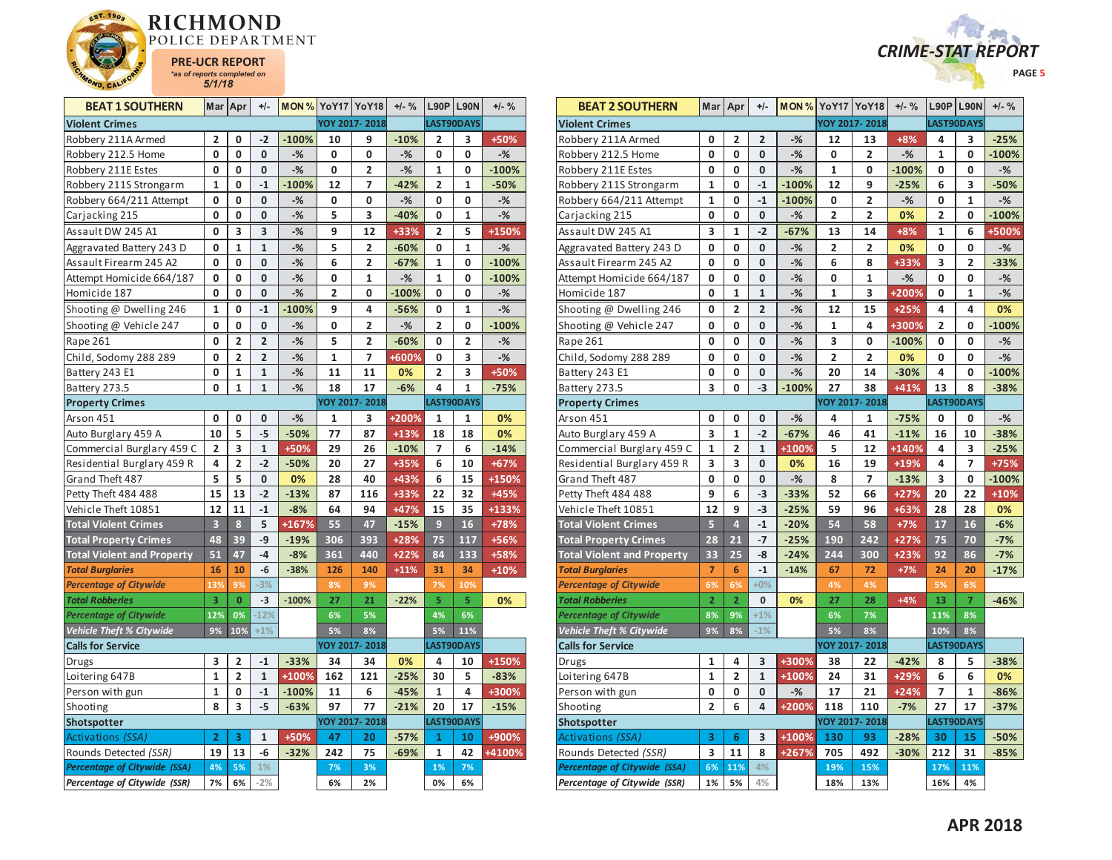



| <b>BEAT 1 SOUTHERN</b>            | Mar            | Apr                     | $+/-$          | MON %         |                | YoY17 YoY18             | $+/-$ %      |                | <b>L90P L90N</b>  | $+/-$ %       |
|-----------------------------------|----------------|-------------------------|----------------|---------------|----------------|-------------------------|--------------|----------------|-------------------|---------------|
| <b>Violent Crimes</b>             |                |                         |                |               |                | YOY 2017-2018           |              |                | LAST90DAYS        |               |
| Robbery 211A Armed                | 2              | 0                       | $-2$           | $-100%$       | 10             | 9                       | $-10%$       | 2              | 3                 | +50%          |
| Robbery 212.5 Home                | 0              | $\mathbf 0$             | $\mathbf{0}$   | $-%$          | 0              | 0                       | $-$ %        | 0              | 0                 | $-%$          |
| Robbery 211E Estes                | 0              | 0                       | 0              | $-%$          | 0              | 2                       | $-%$         | 1              | 0                 | $-100%$       |
| Robbery 211S Strongarm            | $\mathbf{1}$   | 0                       | $-1$           | $-100%$       | 12             | 7                       | $-42%$       | 2              | $\mathbf{1}$      | $-50%$        |
|                                   |                | 0                       | 0              |               |                |                         |              | 0              |                   |               |
| Robbery 664/211 Attempt           | 0<br>0         | 0                       | $\mathbf{0}$   | $-$ %<br>$-%$ | 0<br>5         | 0<br>3                  | -%<br>$-40%$ | 0              | 0<br>$\mathbf{1}$ | $-%$<br>$-$ % |
| Carjacking 215                    |                |                         |                |               |                |                         |              |                |                   |               |
| Assault DW 245 A1                 | 0              | 3                       | 3              | $-$ %         | 9              | 12                      | +33%         | 2              | 5                 | +150%         |
| Aggravated Battery 243 D          | 0              | $\mathbf 1$             | $\mathbf{1}$   | $-%$          | 5              | $\overline{\mathbf{c}}$ | $-60%$       | 0              | $\mathbf{1}$      | $-$ %         |
| Assault Firearm 245 A2            | 0              | 0                       | 0              | $-%$          | 6              | 2                       | $-67%$       | $\mathbf{1}$   | 0                 | $-100%$       |
| Attempt Homicide 664/187          | 0              | $\mathbf 0$             | $\mathbf{0}$   | $-$ %         | 0              | $\mathbf{1}$            | $-%$         | $\mathbf{1}$   | 0                 | $-100%$       |
| Homicide 187                      | 0              | $\mathbf 0$             | $\bf{0}$       | $-$ %         | $\overline{2}$ | 0                       | $-100%$      | 0              | 0                 | $-$ %         |
| Shooting @ Dwelling 246           | $\mathbf{1}$   | 0                       | $-1$           | $-100%$       | 9              | 4                       | $-56%$       | 0              | 1                 | $-$ %         |
| Shooting @ Vehicle 247            | 0              | $\mathbf 0$             | $\mathbf{0}$   | $-$ %         | 0              | $\overline{2}$          | $-$ %        | $\overline{2}$ | 0                 | $-100%$       |
| Rape 261                          | 0              | $\overline{2}$          | $\overline{2}$ | $-$ %         | 5              | $\overline{2}$          | $-60%$       | 0              | $\overline{2}$    | $-%$          |
| Child, Sodomy 288 289             | 0              | $\overline{\mathbf{2}}$ | $\overline{2}$ | $-%$          | 1              | 7                       | +600%        | 0              | 3                 | $-$ %         |
| Battery 243 E1                    | 0              | 1                       | $\mathbf{1}$   | $-%$          | 11             | 11                      | 0%           | $\overline{2}$ | 3                 | +50%          |
| Battery 273.5                     | 0              | $\mathbf{1}$            | $\mathbf{1}$   | $-$ %         | 18             | 17                      | $-6%$        | 4              | $\mathbf{1}$      | $-75%$        |
| <b>Property Crimes</b>            |                |                         |                |               |                | YOY 2017-2018           |              |                | LAST90DAYS        |               |
| Arson 451                         | 0              | 0                       | 0              | $-$ %         | $\mathbf{1}$   | 3                       | $+200%$      | 1              | 1                 | 0%            |
| Auto Burglary 459 A               | 10             | 5                       | $-5$           | $-50%$        | 77             | 87                      | $+13%$       | 18             | 18                | 0%            |
| Commercial Burglary 459 C         | 2              | 3                       | $\mathbf 1$    | +50%          | 29             | 26                      | $-10%$       | 7              | 6                 | $-14%$        |
| Residential Burglary 459 R        | 4              | $\overline{2}$          | $-2$           | $-50%$        | 20             | 27                      | +35%         | 6              | 10                | $+67%$        |
| Grand Theft 487                   | 5              | 5                       | 0              | 0%            | 28             | 40                      | $+43%$       | 6              | 15                | +150%         |
| Petty Theft 484 488               | 15             | 13                      | $-2$           | $-13%$        | 87             | 116                     | +33%         | 22             | 32                | +45%          |
| Vehicle Theft 10851               | 12             | 11                      | $-1$           | $-8%$         | 64             | 94                      | $+47%$       | 15             | 35                | +133%         |
| <b>Total Violent Crimes</b>       | 3              | 8                       | 5              | +167%         | 55             | 47                      | $-15%$       | 9              | 16                | +78%          |
| <b>Total Property Crimes</b>      | 48             | 39                      | $-9$           | $-19%$        | 306            | 393                     | +28%         | 75             | 117               | +56%          |
| <b>Total Violent and Property</b> | 51             | 47                      | $-4$           | $-8%$         | 361            | 440                     | $+22%$       | 84             | 133               | +58%          |
| <b>Total Burglaries</b>           | 16             | 10                      | -6             | $-38%$        | 126            | 140                     | $+11%$       | 31             | 34                | $+10%$        |
| <b>Percentage of Citywide</b>     | 13%            | 9%                      | $-3%$          |               | 8%             | 9%                      |              | 7%             | 10%               |               |
| <b>Total Robberies</b>            | 3              | $\overline{0}$          | $-3$           | $-100%$       | 27             | 21                      | $-22%$       | 5              | 5                 | 0%            |
| <b>Percentage of Citywide</b>     | 12%            | 0%                      | $-12%$         |               | 6%             | 5%                      |              | 4%             | 6%                |               |
| Vehicle Theft % Citywide          | 9%             | 10%                     | $+1%$          |               | 5%             | 8%                      |              | 5%             | 11%               |               |
| <b>Calls for Service</b>          |                |                         |                |               |                | YOY 2017-2018           |              |                | LAST90DAYS        |               |
| Drugs                             | 3              | 2                       | $-1$           | $-33%$        | 34             | 34                      | 0%           | 4              | 10                | +150%         |
| Loitering 647B                    | $\mathbf{1}$   | $\overline{2}$          | $\mathbf{1}$   | +100%         | 162            | 121                     | $-25%$       | 30             | 5                 | $-83%$        |
| Person with gun                   | 1              | 0                       | $-1$           | $-100%$       | 11             | 6                       | $-45%$       | $\mathbf{1}$   | 4                 | +300%         |
| Shooting                          | 8              | 3                       | $-5$           | $-63%$        | 97             | 77                      | $-21%$       | 20             | 17                | $-15%$        |
| <b>Shotspotter</b>                |                |                         |                |               |                | YOY 2017-2018           |              |                | LAST90DAYS        |               |
| Activations (SSA)                 | $\overline{2}$ | 3                       | 1              | +50%          | 47             | 20                      | $-57%$       | $\mathbf{1}$   | 10                | +900%         |
| Rounds Detected (SSR)             | 19             | 13                      | -6             | $-32%$        | 242            | 75                      | $-69%$       | $\mathbf{1}$   | 42                | $+4100%$      |
| Percentage of Citywide (SSA)      | 4%             | 5%                      | 1%             |               | 7%             | 3%                      |              | 1%             | 7%                |               |
| Percentage of Citywide (SSR)      | 7%             | 6%                      | $-2%$          |               | 6%             | 2%                      |              | 0%             | 6%                |               |

| <b>BEAT 2 SOUTHERN</b>            | Mar            | Apr            | +/-            |         | <b>MON % YoY17 YoY18</b> |                      | $+/-$ % | <b>L90P L90N</b> |                | $+/-$ % |
|-----------------------------------|----------------|----------------|----------------|---------|--------------------------|----------------------|---------|------------------|----------------|---------|
| <b>Violent Crimes</b>             |                |                |                |         |                          | YOY 2017-2018        |         | LAST90DAYS       |                |         |
| Robbery 211A Armed                | 0              | 2              | $\overline{2}$ | $-%$    | 12                       | 13                   | $+8%$   | 4                | 3              | $-25%$  |
| Robbery 212.5 Home                | 0              | 0              | 0              | $-%$    | 0                        | 2                    | $-%$    | 1                | 0              | $-100%$ |
| Robbery 211E Estes                | 0              | 0              | 0              | $-%$    | $\mathbf{1}$             | 0                    | $-100%$ | 0                | 0              | $-$ %   |
| Robbery 211S Strongarm            | $\mathbf{1}$   | 0              | $-1$           | $-100%$ | 12                       | 9                    | $-25%$  | 6                | 3              | $-50%$  |
| Robbery 664/211 Attempt           | 1              | 0              | $-1$           | $-100%$ | 0                        | 2                    | $-$ %   | 0                | 1              | $-%$    |
| Carjacking 215                    | 0              | 0              | 0              | $-%$    | $\overline{2}$           | $\overline{2}$       | 0%      | $\overline{2}$   | 0              | $-100%$ |
| Assault DW 245 A1                 | 3              | 1              | $-2$           | $-67%$  | 13                       | 14                   | $+8%$   | 1                | 6              | +500%   |
| Aggravated Battery 243 D          | 0              | 0              | 0              | $-%$    | 2                        | 2                    | 0%      | 0                | 0              | $-%$    |
| Assault Firearm 245 A2            | 0              | 0              | 0              | $-%$    | 6                        | 8                    | +33%    | 3                | $\overline{2}$ | $-33%$  |
| Attempt Homicide 664/187          | 0              | 0              | 0              | $-%$    | 0                        | 1                    | $-$ %   | 0                | 0              | $-%$    |
| Homicide 187                      | 0              | 1              | $\mathbf{1}$   | $-%$    | 1                        | 3                    | +200%   | 0                | 1              | $-%$    |
| Shooting @ Dwelling 246           | 0              | 2              | $\overline{2}$ | $-%$    | 12                       | 15                   | $+25%$  | 4                | 4              | 0%      |
| Shooting @ Vehicle 247            | 0              | 0              | 0              | $-%$    | $\mathbf{1}$             | 4                    | +300%   | $\overline{2}$   | 0              | $-100%$ |
| Rape 261                          | 0              | 0              | 0              | $-%$    | 3                        | 0                    | $-100%$ | 0                | 0              | $-%$    |
| Child, Sodomy 288 289             | 0              | 0              | 0              | $-%$    | $\overline{2}$           | $\overline{2}$       | 0%      | 0                | 0              | $-$ %   |
| Battery 243 E1                    | 0              | 0              | 0              | $-%$    | 20                       | 14                   | $-30%$  | 4                | 0              | $-100%$ |
| Battery 273.5                     | 3              | 0              | $-3$           | $-100%$ | 27                       | 38                   | $+41%$  | 13               | 8              | $-38%$  |
| <b>Property Crimes</b>            |                |                |                |         |                          | YOY 2017-2018        |         | LAST90DAYS       |                |         |
| Arson 451                         | 0              | 0              | 0              | $-%$    | 4                        | 1                    | $-75%$  | 0                | 0              | $-%$    |
| Auto Burglary 459 A               | 3              | $\overline{1}$ | $-2$           | $-67%$  | 46                       | 41                   | $-11%$  | 16               | 10             | $-38%$  |
| Commercial Burglary 459 C         | 1              | 2              | $\mathbf{1}$   | +100%   | 5                        | 12                   | +140%   | 4                | 3              | $-25%$  |
| Residential Burglary 459 R        | 3              | 3              | $\mathbf 0$    | 0%      | 16                       | 19                   | +19%    | 4                | 7              | $+75%$  |
| Grand Theft 487                   | 0              | 0              | 0              | $-%$    | 8                        | 7                    | $-13%$  | 3                | 0              | $-100%$ |
| Petty Theft 484 488               | 9              | 6              | $-3$           | $-33%$  | 52                       | 66                   | $+27%$  | 20               | 22             | $+10%$  |
| Vehicle Theft 10851               | 12             | 9              | $-3$           | $-25%$  | 59                       | 96                   | +63%    | 28               | 28             | 0%      |
| <b>Total Violent Crimes</b>       | 5              | $\overline{a}$ | $-1$           | $-20%$  | 54                       | 58                   | $+7%$   | 17               | 16             | $-6%$   |
| <b>Total Property Crimes</b>      | 28             | 21             | $-7$           | $-25%$  | 190                      | 242                  | $+27%$  | 75               | 70             | $-7%$   |
| <b>Total Violent and Property</b> | 33             | 25             | -8             | $-24%$  | 244                      | 300                  | $+23%$  | 92               | 86             | $-7%$   |
| <b>Total Burglaries</b>           | $\overline{7}$ | 6              | $-1$           | $-14%$  | 67                       | 72                   | $+7%$   | 24               | 20             | $-17%$  |
| <b>Percentage of Citywide</b>     | 6%             | 6%             | $+0%$          |         | 4%                       | 4%                   |         | 5%               | 6%             |         |
| <b>Total Robberies</b>            | $\overline{2}$ | $\overline{2}$ | 0              | 0%      | 27                       | 28                   | $+4%$   | 13               | $\overline{7}$ | $-46%$  |
| <b>Percentage of Citywide</b>     | 8%             | 9%             | $+1%$          |         | 6%                       | 7%                   |         | 11%              | 8%             |         |
| <b>Vehicle Theft % Citywide</b>   | 9%             | 8%             | $-1%$          |         | 5%                       | 8%                   |         | 10%              | 8%             |         |
| <b>Calls for Service</b>          |                |                |                |         |                          | <b>YOY 2017-2018</b> |         | LAST90DAYS       |                |         |
| Drugs                             | 1              | 4              | 3              | +300%   | 38                       | 22                   | $-42%$  | 8                | 5              | $-38%$  |
| Loitering 647B                    | $\mathbf{1}$   | $\overline{2}$ | $\mathbf{1}$   | +100%   | 24                       | 31                   | $+29%$  | 6                | 6              | 0%      |
| Person with gun                   | 0              | 0              | 0              | $-%$    | 17                       | 21                   | $+24%$  | 7                | 1              | $-86%$  |
| Shooting                          | $\overline{2}$ | 6              | 4              | +200%   | 118                      | 110                  | $-7%$   | 27               | 17             | $-37%$  |
| Shotspotter                       |                |                |                |         |                          | YOY 2017-2018        |         | LAST90DAYS       |                |         |
| Activations (SSA)                 | 3              | 6              | 3              | +100%   | 130                      | 93                   | $-28%$  | 30               | 15             | $-50%$  |
| Rounds Detected (SSR)             | 3              | 11             | 8              | +267%   | 705                      | 492                  | $-30%$  | 212              | 31             | $-85%$  |
| Percentage of Citywide (SSA)      | 6%             | 11%            | 4%             |         | 19%                      | 15%                  |         | 17%              | 11%            |         |
| Percentage of Citywide (SSR)      | 1%             | 5%             | 4%             |         | 18%                      | 13%                  |         | 16%              | 4%             |         |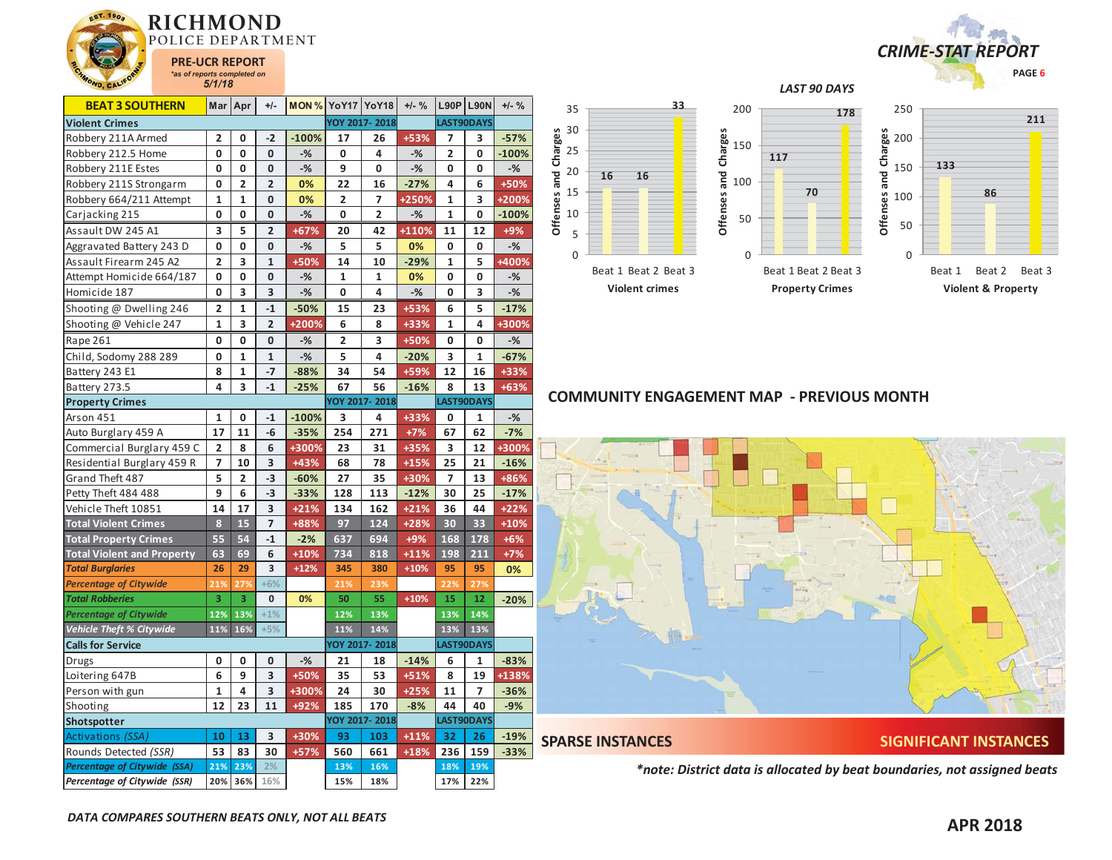



| <b>BEAT 3 SOUTHERN</b>            | Mar                     | Apr                     | $+/-$                   | MON%    |     | YoY17 YoY18    | $+/-$ % |                          | $L90P$ L90N    | $+/-$ % |
|-----------------------------------|-------------------------|-------------------------|-------------------------|---------|-----|----------------|---------|--------------------------|----------------|---------|
| <b>Violent Crimes</b>             |                         |                         |                         |         |     | YOY 2017-2018  |         |                          | LAST90DAYS     |         |
| Robbery 211A Armed                | $\overline{2}$          | 0                       | $-2$                    | $-100%$ | 17  | 26             | +53%    | 7                        | 3              | $-57%$  |
| Robbery 212.5 Home                | 0                       | 0                       | 0                       | $-%$    | 0   | 4              | $-%$    | 2                        | 0              | $-100%$ |
| Robbery 211E Estes                | 0                       | 0                       | 0                       | $-%$    | 9   | 0              | $-%$    | 0                        | 0              | $-%$    |
| Robbery 211S Strongarm            | 0                       | $\overline{2}$          | $\overline{2}$          | 0%      | 22  | 16             | $-27%$  | 4                        | 6              | +50%    |
| Robbery 664/211 Attempt           | 1                       | 1                       | 0                       | 0%      | 2   | 7              | +250%   | 1                        | 3              | +200%   |
| Carjacking 215                    | 0                       | 0                       | 0                       | $-%$    | 0   | $\overline{2}$ | $-%$    | $\mathbf{1}$             | 0              | $-100%$ |
| Assault DW 245 A1                 | 3                       | 5                       | $\overline{2}$          | $+67%$  | 20  | 42             | +110%   | 11                       | 12             | $+9%$   |
| Aggravated Battery 243 D          | 0                       | 0                       | 0                       | $-$ %   | 5   | 5              | 0%      | 0                        | 0              | $-%$    |
| Assault Firearm 245 A2            | $\overline{\mathbf{c}}$ | 3                       | $\mathbf{1}$            | +50%    | 14  | 10             | $-29%$  | $\mathbf{1}$             | 5              | $+400%$ |
| Attempt Homicide 664/187          | 0                       | 0                       | 0                       | $-%$    | 1   | 1              | 0%      | 0                        | 0              | $-%$    |
| Homicide 187                      | 0                       | 3                       | 3                       | $-$ %   | 0   | 4              | $-$ %   | 0                        | 3              | $-$ %   |
| Shooting @ Dwelling 246           | 2                       | 1                       | $-1$                    | $-50%$  | 15  | 23             | +53%    | 6                        | 5              | $-17%$  |
| Shooting @ Vehicle 247            | $\mathbf{1}$            | 3                       | $\overline{\mathbf{c}}$ | +200%   | 6   | 8              | +33%    | $\mathbf{1}$             | 4              | +300%   |
| Rape 261                          | 0                       | 0                       | 0                       | $-%$    | 2   | 3              | +50%    | 0                        | 0              | $-%$    |
| Child, Sodomy 288 289             | 0                       | 1                       | $\mathbf{1}$            | $-%$    | 5   | 4              | $-20%$  | 3                        | 1              | $-67%$  |
| Battery 243 E1                    | 8                       | 1                       | $-7$                    | $-88%$  | 34  | 54             | +59%    | 12                       | 16             | +33%    |
| Battery 273.5                     | 4                       | 3                       | $-1$                    | $-25%$  | 67  | 56             | $-16%$  | 8                        | 13             | $+63%$  |
| <b>Property Crimes</b>            |                         |                         |                         |         |     | YOY 2017-2018  |         |                          | LAST90DAYS     |         |
| Arson 451                         | $\mathbf{1}$            | 0                       | $-1$                    | $-100%$ | 3   | 4              | +33%    | 0                        | 1              | $-%$    |
| Auto Burglary 459 A               | 17                      | 11                      | -6                      | $-35%$  | 254 | 271            | $+7%$   | 67                       | 62             | $-7%$   |
| Commercial Burglary 459 C         | $\overline{\mathbf{2}}$ | 8                       | 6                       | +300%   | 23  | 31             | +35%    | 3                        | 12             | +300%   |
| Residential Burglary 459 R        | 7                       | 10                      | 3                       | $+43%$  | 68  | 78             | $+15%$  | 25                       | 21             | $-16%$  |
| Grand Theft 487                   | 5                       | $\overline{\mathbf{2}}$ | -3                      | $-60%$  | 27  | 35             | +30%    | $\overline{\phantom{a}}$ | 13             | +86%    |
| Petty Theft 484 488               | 9                       | 6                       | $-3$                    | $-33%$  | 128 | 113            | $-12%$  | 30                       | 25             | $-17%$  |
| Vehicle Theft 10851               | 14                      | 17                      | 3                       | $+21%$  | 134 | 162            | $+21%$  | 36                       | 44             | $+22%$  |
| <b>Total Violent Crimes</b>       | 8                       | 15                      | 7                       | +88%    | 97  | 124            | $+28%$  | 30                       | 33             | $+10%$  |
| <b>Total Property Crimes</b>      | 55                      | 54                      | $-1$                    | $-2%$   | 637 | 694            | $+9%$   | 168                      | 178            | $+6%$   |
| <b>Total Violent and Property</b> | 63                      | 69                      | 6                       | $+10%$  | 734 | 818            | $+11%$  | 198                      | 211            | $+7%$   |
| <b>Total Burglaries</b>           | 26                      | 29                      | 3                       | $+12%$  | 345 | 380            | $+10%$  | 95                       | 95             | 0%      |
| <b>Percentage of Citywide</b>     | 21%                     | 27%                     | $+6%$                   |         | 21% | 23%            |         | 22%                      | 27%            |         |
| <b>Total Robberies</b>            | 3                       | 3                       | $\mathbf 0$             | 0%      | 50  | 55             | $+10%$  | 15                       | 12             | $-20%$  |
| <b>Percentage of Citywide</b>     | 12%                     | 13%                     | $+1%$                   |         | 12% | 13%            |         | 13%                      | 14%            |         |
| <b>Vehicle Theft % Citywide</b>   | 11%                     | 16%                     | $+5%$                   |         | 11% | 14%            |         | 13%                      | 13%            |         |
| <b>Calls for Service</b>          |                         |                         |                         |         |     | YOY 2017-2018  |         |                          | LAST90DAYS     |         |
| Drugs                             | 0                       | 0                       | 0                       | $-%$    | 21  | 18             | $-14%$  | 6                        | 1              | $-83%$  |
| Loitering 647B                    | 6                       | 9                       | 3                       | +50%    | 35  | 53             | $+51%$  | 8                        | 19             | +138%   |
| Person with gun                   | $\mathbf{1}$            | 4                       | 3                       | +300%   | 24  | 30             | $+25%$  | 11                       | $\overline{7}$ | $-36%$  |
| Shooting                          | 12                      | 23                      | 11                      | +92%    | 185 | 170            | $-8%$   | 44                       | 40             | $-9%$   |
| Shotspotter                       |                         |                         |                         |         |     | YOY 2017-2018  |         |                          | LAST90DAYS     |         |
| Activations (SSA)                 | 10                      | 13                      | 3                       | +30%    | 93  | 103            | $+11%$  | 32                       | 26             | $-19%$  |
| Rounds Detected (SSR)             | 53                      | 83                      | 30                      | +57%    | 560 | 661            | $+18%$  | 236                      | 159            | $-33%$  |
| Percentage of Citywide (SSA)      | 21%                     | 23%                     | 2%                      |         | 13% | 16%            |         | 18%                      | 19%            |         |
| Percentage of Citywide (SSR)      | 20%                     | 36%                     | 16%                     |         | 15% | 18%            |         | 17%                      | 22%            |         |



Beat 1 Beat 2 Beat 3

**Violent crimes**

**Offenses and Charges**



*LAST 90 DAYS* 



## **COMMUNITY ENGAGEMENT MAP - PREVIOUS MONTH**



**SPARSE INSTANCES SIGNIFICANT INSTANCES** 

*\*note: District data is allocated by beat boundaries, not assigned beats*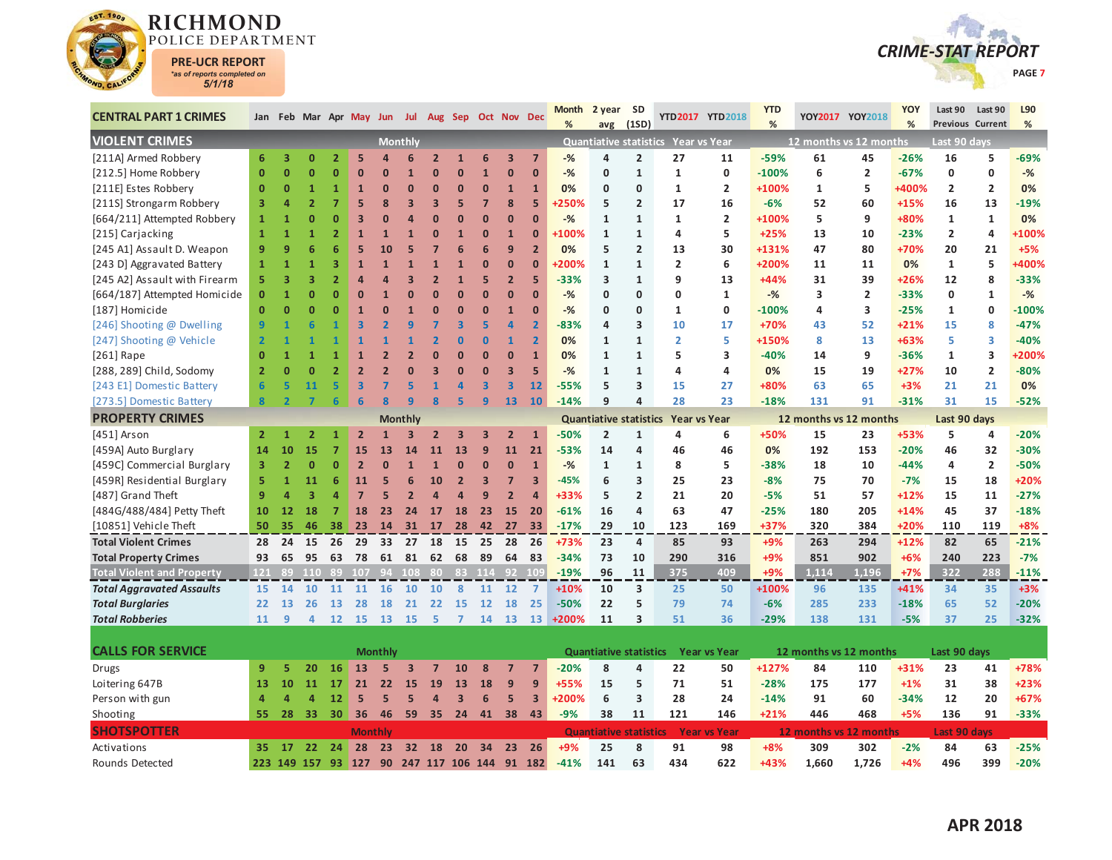



| <b>CENTRAL PART 1 CRIMES</b>      |                | Jan Feb Mar Apr May Jun Jul Aug Sep Oct Nov Dec |                |                |                         |                |                         |                         |                         |                         |                         |                         | <b>Month</b><br>% | 2 year<br>avg                 | <b>SD</b><br>(1SD)      |                                     | YTD2017 YTD2018     | <b>YTD</b><br>% |                        | YOY2017 YOY2018 | YOY<br>% | Last 90             | Last 90<br>Previous Current | L90<br>% |
|-----------------------------------|----------------|-------------------------------------------------|----------------|----------------|-------------------------|----------------|-------------------------|-------------------------|-------------------------|-------------------------|-------------------------|-------------------------|-------------------|-------------------------------|-------------------------|-------------------------------------|---------------------|-----------------|------------------------|-----------------|----------|---------------------|-----------------------------|----------|
| <b>VIOLENT CRIMES</b>             |                |                                                 |                |                |                         |                | <b>Monthly</b>          |                         |                         |                         |                         |                         |                   |                               |                         | Quantiative statistics Year vs Year |                     |                 | 12 months vs 12 months |                 |          | Last 90 days        |                             |          |
| [211A] Armed Robbery              | 6              | 3                                               | $\mathbf{0}$   | $\overline{2}$ | 5                       | Δ              | 6                       | $\overline{2}$          | $\mathbf{1}$            | 6                       | $\overline{\mathbf{3}}$ | $\overline{7}$          | $-%$              | 4                             | $\overline{2}$          | 27                                  | 11                  | $-59%$          | 61                     | 45              | $-26%$   | 16                  | 5                           | -69%     |
| [212.5] Home Robbery              | $\mathbf{0}$   | $\mathbf{0}$                                    | O              | $\Omega$       | $\Omega$                | $\mathbf{0}$   | $\mathbf{1}$            | $\overline{0}$          | $\bf{0}$                | $\mathbf{1}$            | $\overline{0}$          | $\mathbf{0}$            | $-%$              | $\mathbf{0}$                  | $\mathbf{1}$            | $\mathbf{1}$                        | $\mathbf 0$         | $-100%$         | 6                      | $\overline{2}$  | $-67%$   | 0                   | $\mathbf 0$                 | $-%$     |
| [211E] Estes Robbery              | $\mathbf{0}$   | $\mathbf{0}$                                    | $\mathbf{1}$   | 1              | $\mathbf{1}$            | $\mathbf{0}$   | $\Omega$                | $\mathbf 0$             | $\bf{0}$                | $\mathbf{0}$            | $\mathbf{1}$            | $\mathbf{1}$            | 0%                | $\mathbf{0}$                  | 0                       | 1                                   | $\overline{2}$      | +100%           | $\mathbf{1}$           | 5               | +400%    | $\overline{2}$      | $\overline{2}$              | 0%       |
| [211S] Strongarm Robbery          | 3              | 4                                               | $\overline{2}$ |                | 5                       | 8              | $\overline{3}$          | $\overline{\mathbf{3}}$ | 5                       | $\overline{7}$          | 8                       | 5                       | <b>250%</b>       | 5                             | $\overline{\mathbf{2}}$ | 17                                  | 16                  | -6%             | 52                     | 60              | $+15%$   | 16                  | 13                          | $-19%$   |
| [664/211] Attempted Robbery       | $\mathbf{1}$   | 1                                               | Ō              | n              | В                       | n              | Z                       | $\Omega$                | $\Omega$                | $\mathbf{0}$            | $\overline{0}$          | $\overline{0}$          | $-$ %             | $\mathbf{1}$                  | $\mathbf{1}$            | $\mathbf{1}$                        | $\overline{2}$      | +100%           | 5                      | 9               | +80%     | $\mathbf{1}$        | $\mathbf{1}$                | 0%       |
| [215] Carjacking                  | $\mathbf{1}$   | $\overline{1}$                                  |                |                | $\mathbf{1}$            | $\overline{1}$ | $\overline{1}$          | $\overline{0}$          | $\mathbf{1}$            | $\mathbf{0}$            | 1                       | $\bf{0}$                | +100%             | $\mathbf{1}$                  | $\mathbf{1}$            | 4                                   | 5                   | $+25%$          | 13                     | 10              | $-23%$   | $\overline{2}$      | 4                           | +100%    |
| [245 A1] Assault D. Weapon        | 9              | 9                                               | 6              |                | 5                       | 10             | 5                       | 7                       | 6                       | 6                       | 9                       | $\overline{2}$          | 0%                | 5                             | $\overline{2}$          | 13                                  | 30                  | +131%           | 47                     | 80              | +70%     | 20                  | 21                          | $+5%$    |
| [243 D] Aggravated Battery        | $\mathbf{1}$   | $\mathbf{1}$                                    |                | 3              | $\overline{1}$          | $\overline{1}$ | $\overline{1}$          | $\mathbf{1}$            | $\mathbf{1}$            | $\mathbf{0}$            | $\overline{0}$          | $\overline{0}$          | <b>200%</b>       | $\mathbf{1}$                  | $\mathbf{1}$            | $\overline{2}$                      | 6                   | +200%           | 11                     | 11              | 0%       | $\mathbf{1}$        | 5                           | +400%    |
| [245 A2] Assault with Firearm     | 5              | 3                                               | 3              |                | Δ                       | Δ              | 3                       | $\overline{2}$          | $\mathbf{1}$            | 5                       | $\overline{2}$          | 5                       | $-33%$            | 3                             | $\mathbf{1}$            | 9                                   | 13                  | $+44%$          | 31                     | 39              | +26%     | 12                  | 8                           | $-33%$   |
| [664/187] Attempted Homicide      | $\mathbf{0}$   |                                                 | n              |                | $\Omega$                | $\overline{1}$ | $\Omega$                | $\overline{0}$          | $\overline{0}$          | $\mathbf{0}$            | $\overline{0}$          | $\overline{0}$          | $-$ %             | $\mathbf{0}$                  | $\mathbf{0}$            | 0                                   | 1                   | $-$ %           | 3                      | $\overline{2}$  | $-33%$   | 0                   | $\mathbf{1}$                | $-$ %    |
| [187] Homicide                    | $\Omega$       | $\Omega$                                        | n              |                |                         | О              | $\overline{1}$          | $\overline{0}$          | $\Omega$                | $\mathbf{0}$            | $\mathbf{1}$            | $\mathbf{0}$            | $-%$              | 0                             | 0                       | 1                                   | 0                   | $-100%$         | 4                      | 3               | $-25%$   | $\mathbf{1}$        | 0                           | $-100%$  |
| [246] Shooting @ Dwelling         | 9              |                                                 |                |                | $\overline{\mathbf{3}}$ |                | 9                       | 7                       | $\overline{\mathbf{3}}$ | 5                       | 4                       | $\overline{2}$          | $-83%$            | 4                             | 3                       | 10                                  | 17                  | $+70%$          | 43                     | 52              | $+21%$   | 15                  | 8                           | $-47%$   |
| [247] Shooting @ Vehicle          | $\overline{2}$ |                                                 |                |                |                         |                | 1                       | $\overline{2}$          | $\overline{0}$          | $\bf{0}$                | 1                       | $\overline{2}$          | 0%                | 1                             | $\mathbf{1}$            | $\overline{2}$                      | 5                   | +150%           | 8                      | 13              | $+63%$   | 5                   | 3                           | $-40%$   |
| [ $261$ ] Rape                    | $\Omega$       | $\mathbf{1}$                                    |                |                | 1                       | 2              | $\overline{2}$          | $\overline{0}$          | $\overline{0}$          | $\overline{0}$          | $\overline{0}$          | $\mathbf{1}$            | 0%                | $\mathbf{1}$                  | $\mathbf{1}$            | 5                                   | 3                   | $-40%$          | 14                     | 9               | $-36%$   | 1                   | 3                           | +200%    |
| [288, 289] Child, Sodomy          | $\overline{2}$ | $\Omega$                                        | n              |                | $\overline{2}$          | $\overline{a}$ | $\Omega$                | $\overline{3}$          | $\Omega$                | $\mathbf{0}$            | 3                       | 5                       | $-$ %             | $\mathbf{1}$                  | $\mathbf{1}$            | 4                                   | 4                   | 0%              | 15                     | 19              | $+27%$   | 10                  | $\overline{\mathbf{c}}$     | $-80%$   |
| [243 E1] Domestic Battery         | 6              | 5                                               | 11             |                | $\overline{\mathbf{3}}$ | 7              | 5                       | $\mathbf{1}$            | $\overline{a}$          | $\overline{\mathbf{3}}$ | $\overline{\mathbf{3}}$ | 12                      | $-55%$            | 5                             | 3                       | 15                                  | 27                  | +80%            | 63                     | 65              | $+3%$    | 21                  | 21                          | 0%       |
| [273.5] Domestic Battery          | 8              | $\overline{2}$                                  |                |                | 6                       | $\mathbf{R}$   | $\mathbf{q}$            | $\overline{\mathbf{8}}$ | 5                       | $\overline{9}$          | 13                      | 10                      | $-14%$            | 9                             | 4                       | 28                                  | 23                  | $-18%$          | 131                    | 91              | $-31%$   | 31                  | 15                          | $-52%$   |
| <b>PROPERTY CRIMES</b>            |                |                                                 |                |                |                         |                | <b>Monthly</b>          |                         |                         |                         |                         |                         |                   | <b>Quantiative statistics</b> |                         | <b>Year vs Year</b>                 |                     |                 | 12 months vs 12 months |                 |          | Last 90 days        |                             |          |
| [451] Arson                       | $\overline{2}$ | 1                                               | 2              |                | $\overline{2}$          | $\mathbf{1}$   | 3                       | $\overline{2}$          | $\overline{3}$          | $\overline{\mathbf{3}}$ | $\overline{2}$          | $\mathbf{1}$            | $-50%$            | $\overline{2}$                | $\mathbf{1}$            | 4                                   | 6                   | +50%            | 15                     | 23              | +53%     | 5                   | 4                           | $-20%$   |
| [459A] Auto Burglary              | 14             | 10                                              | 15             | $\overline{7}$ | 15                      | 13             | 14                      | 11                      | 13                      | $\mathbf{9}$            | 11                      | 21                      | $-53%$            | 14                            | 4                       | 46                                  | 46                  | 0%              | 192                    | 153             | $-20%$   | 46                  | 32                          | $-30%$   |
| [459C] Commercial Burglary        | 3              | $\overline{2}$                                  | $\mathbf{0}$   | $\Omega$       | $\overline{2}$          | 0              | $\overline{1}$          | $\mathbf{1}$            | $\bf{0}$                | $\mathbf{0}$            | $\mathbf{0}$            | $\mathbf{1}$            | $-$ %             | $\mathbf{1}$                  | $\mathbf{1}$            | 8                                   | 5                   | $-38%$          | 18                     | 10              | $-44%$   | 4                   | $\overline{\mathbf{2}}$     | $-50%$   |
| [459R] Residential Burglary       | 5              | $\mathbf{1}$                                    | 11             | 6              | 11                      | 5              | 6                       | 10                      | $\overline{2}$          | $\overline{\mathbf{3}}$ | $\overline{7}$          | $\overline{\mathbf{3}}$ | $-45%$            | 6                             | 3                       | 25                                  | 23                  | $-8%$           | 75                     | 70              | $-7%$    | 15                  | 18                          | $+20%$   |
| [487] Grand Theft                 | 9              | $\overline{a}$                                  | 3              | Δ              | $\overline{7}$          | 5              | $\overline{2}$          | $\overline{a}$          | $\overline{a}$          | 9                       | $\overline{2}$          | $\overline{a}$          | +33%              | 5                             | $\overline{2}$          | 21                                  | 20                  | $-5%$           | 51                     | 57              | $+12%$   | 15                  | 11                          | $-27%$   |
| [484G/488/484] Petty Theft        | 10             | 12                                              | 18             | 7              | 18                      | 23             | 24                      | 17                      | 18                      | 23                      | 15                      | 20                      | $-61%$            | 16                            | 4                       | 63                                  | 47                  | $-25%$          | 180                    | 205             | $+14%$   | 45                  | 37                          | $-18%$   |
| [10851] Vehicle Theft             | 50             | 35                                              | 46             | 38             | 23                      |                | 14 31                   | 17                      | 28                      | 42                      | 27                      | 33                      | $-17%$            | 29                            | 10                      | 123                                 | 169                 | +37%            | 320                    | 384             | $+20%$   | 110                 | 119                         | $+8%$    |
| <b>Total Violent Crimes</b>       | 28             | 24                                              | 15             | 26             | 29                      | 33             | 27                      | 18                      | 15                      | 25                      | 28                      | 26                      | +73%              | 23                            | 4                       | 85                                  | 93                  | $+9%$           | 263                    | 294             | $+12%$   | 82                  | 65                          | $-21%$   |
| <b>Total Property Crimes</b>      | 93             | 65                                              | 95             | 63             | 78                      | 61             | 81                      | 62                      | 68                      | 89                      | 64                      | 83                      | $-34%$            | 73                            | 10                      | 290                                 | 316                 | $+9%$           | 851                    | 902             | $+6%$    | 240                 | 223                         | $-7%$    |
| <b>Total Violent and Property</b> | 121            | 89                                              | 110            | 89             | 107 94 108              |                |                         | -80                     |                         | 83 114                  | $92 \t109$              |                         | $-19%$            | 96                            | 11                      | 375                                 | 409                 | $+9%$           | 1.114                  | 1.196           | $+7%$    | 322                 | 288                         | $-11%$   |
| <b>Total Aggravated Assaults</b>  | 15             | 14                                              | 10             | 11             | <b>11</b>               | <b>16</b>      | 10                      | 10                      | 8                       | 11                      | 12                      | $\overline{7}$          | $+10%$            | 10                            | 3                       | 25                                  | 50                  | +100%           | 96                     | 135             | +41%     | 34                  | 35                          | $+3%$    |
| <b>Total Burglaries</b>           | 22             | 13                                              | 26             | 13             | 28                      | <b>18</b>      | 21                      | 22                      | 15                      | 12                      | 18                      | 25                      | $-50%$            | 22                            | 5                       | 79                                  | 74                  | $-6%$           | 285                    | 233             | $-18%$   | 65                  | 52                          | $-20%$   |
| <b>Total Robberies</b>            | 11             | 9                                               | 4              | 12             | 15                      | <b>13</b>      | <b>15</b>               | 5                       | $\overline{7}$          | 14                      | 13                      | <b>13</b>               | +200%             | 11                            | 3                       | 51                                  | 36                  | $-29%$          | 138                    | 131             | $-5%$    | 37                  | 25                          | $-32%$   |
|                                   |                |                                                 |                |                |                         |                |                         |                         |                         |                         |                         |                         |                   |                               |                         |                                     |                     |                 |                        |                 |          |                     |                             |          |
| <b>CALLS FOR SERVICE</b>          |                |                                                 |                |                |                         | <b>Monthly</b> |                         |                         |                         |                         |                         |                         |                   | <b>Quantiative statistics</b> |                         |                                     | <b>Year vs Year</b> |                 | 12 months vs 12 months |                 |          | Last 90 days        |                             |          |
| Drugs                             | 9              | 5                                               | 20             | 16             | 13                      | 5              | $\overline{\mathbf{3}}$ | $\overline{7}$          | 10                      | 8                       | $\overline{7}$          | $\overline{7}$          | $-20%$            | 8                             | 4                       | 22                                  | 50                  | +127%           | 84                     | 110             | +31%     | 23                  | 41                          | +78%     |
| Loitering 647B                    | 13             | 10                                              | 11             | 17             | 21                      | 22             | <b>15</b>               | 19                      | 13                      | 18                      | 9                       | 9                       | +55%              | 15                            | 5                       | 71                                  | 51                  | $-28%$          | 175                    | 177             | $+1%$    | 31                  | 38                          | $+23%$   |
| Person with gun                   | 4              | 4                                               | 4              | 12             | 5                       | 5              | 5                       | $\overline{a}$          | $\overline{3}$          | $6\phantom{1}$          | 5 <sup>1</sup>          | $\overline{\mathbf{3}}$ | +200%             | 6                             | 3                       | 28                                  | 24                  | $-14%$          | 91                     | 60              | $-34%$   | 12                  | 20                          | +67%     |
| Shooting                          | 55             | 28                                              | 33             | 30             | 36                      | 46             | 59                      | 35                      | 24                      | 41                      | 38                      | 43                      | $-9%$             | 38                            | 11                      | 121                                 | 146                 | $+21%$          | 446                    | 468             | $+5%$    | 136                 | 91                          | $-33%$   |
| <b>SHOTSPOTTER</b>                |                |                                                 |                |                | <b>Monthly</b>          |                |                         |                         |                         |                         |                         |                         |                   | <b>Quantiative statistics</b> |                         |                                     | <b>Year vs Year</b> |                 | 12 months vs 12 months |                 |          | <b>Last 90 days</b> |                             |          |
| Activations                       | 35             | 17                                              | 22             | 24             | 28                      | 23             |                         | 32 18                   | 20                      | 34                      | 23                      | 26                      | +9%               | 25                            | 8                       | 91                                  | 98                  | $+8%$           | 309                    | 302             | $-2%$    | 84                  | 63                          | $-25%$   |
| <b>Rounds Detected</b>            |                | 223 149 157 93                                  |                |                | 127                     | 90             |                         |                         |                         | 247 117 106 144 91      |                         | 182                     | $-41%$            | 141                           | 63                      | 434                                 | 622                 | +43%            | 1.660                  | 1.726           | $+4%$    | 496                 | 399                         | $-20%$   |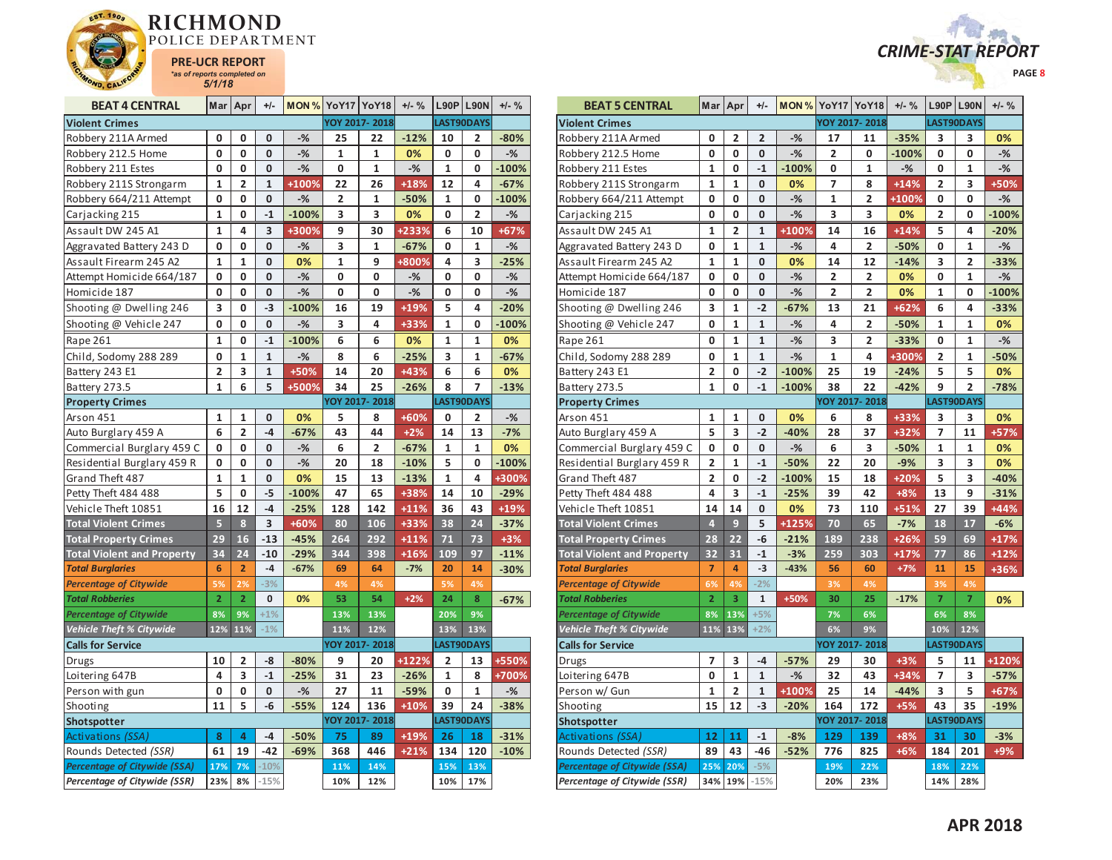



| <b>BEAT 4 CENTRAL</b>               | Mar            | Apr            | $+/-$        |         | <b>MON % YoY17 YoY18</b> |               | $+/-$ % |              | $L90P$ L90N    | $+/-$ % |
|-------------------------------------|----------------|----------------|--------------|---------|--------------------------|---------------|---------|--------------|----------------|---------|
| <b>Violent Crimes</b>               |                |                |              |         |                          | YOY 2017-2018 |         |              | LAST90DAYS     |         |
| Robbery 211A Armed                  | 0              | 0              | 0            | $-%$    | 25                       | 22            | $-12%$  | 10           | 2              | $-80%$  |
| Robbery 212.5 Home                  | 0              | 0              | 0            | $-%$    | 1                        | 1             | 0%      | 0            | 0              | $-%$    |
| Robbery 211 Estes                   | 0              | 0              | 0            | $-%$    | 0                        | $\mathbf 1$   | $-%$    | 1            | 0              | $-100%$ |
| Robbery 211S Strongarm              | $\mathbf{1}$   | 2              | $\mathbf{1}$ | +100%   | 22                       | 26            | $+18%$  | 12           | 4              | $-67%$  |
| Robbery 664/211 Attempt             | 0              | 0              | 0            | $-%$    | $\overline{2}$           | 1             | $-50%$  | 1            | 0              | $-100%$ |
| Carjacking 215                      | 1              | 0              | $-1$         | $-100%$ | 3                        | 3             | 0%      | 0            | $\overline{2}$ | $-$ %   |
| Assault DW 245 A1                   | 1              | 4              | 3            | +300%   | 9                        | 30            | +233%   | 6            | 10             | $+67%$  |
| Aggravated Battery 243 D            | 0              | 0              | 0            | $-%$    | 3                        | 1             | $-67%$  | 0            | 1              | $-%$    |
| Assault Firearm 245 A2              | 1              | $\mathbf{1}$   | 0            | 0%      | $\mathbf{1}$             | 9             | +800%   | 4            | 3              | $-25%$  |
| Attempt Homicide 664/187            | 0              | 0              | 0            | $-%$    | 0                        | 0             | $-%$    | 0            | 0              | $-%$    |
| Homicide 187                        | 0              | 0              | 0            | $-%$    | 0                        | 0             | $-%$    | 0            | 0              | $-%$    |
| Shooting @ Dwelling 246             | 3              | 0              | $-3$         | $-100%$ | 16                       | 19            | +19%    | 5            | 4              | $-20%$  |
| Shooting @ Vehicle 247              | 0              | 0              | 0            | $-%$    | 3                        | 4             | +33%    | $\mathbf{1}$ | 0              | $-100%$ |
| Rape 261                            | 1              | 0              | $-1$         | $-100%$ | 6                        | 6             | 0%      | 1            | 1              | 0%      |
| Child, Sodomy 288 289               | 0              | 1              | $\mathbf 1$  | $-%$    | 8                        | 6             | $-25%$  | 3            | 1              | $-67%$  |
| Battery 243 E1                      | 2              | 3              | $\mathbf{1}$ | +50%    | 14                       | 20            | +43%    | 6            | 6              | 0%      |
| Battery 273.5                       | $\overline{1}$ | 6              | 5            | +500%   | 34                       | 25            | $-26%$  | 8            | 7              | $-13%$  |
| <b>Property Crimes</b>              |                |                |              |         |                          | YOY 2017-2018 |         |              | LAST90DAYS     |         |
| Arson 451                           | 1              | 1              | 0            | 0%      | 5                        | 8             | +60%    | 0            | 2              | $-$ %   |
| Auto Burglary 459 A                 | 6              | 2              | $-4$         | $-67%$  | 43                       | 44            | $+2%$   | 14           | 13             | $-7%$   |
| Commercial Burglary 459 C           | 0              | 0              | 0            | $-%$    | 6                        | 2             | $-67%$  | 1            | 1              | 0%      |
| Residential Burglary 459 R          | 0              | 0              | 0            | $-%$    | 20                       | 18            | $-10%$  | 5            | 0              | $-100%$ |
| Grand Theft 487                     | 1              | 1              | 0            | 0%      | 15                       | 13            | $-13%$  | 1            | 4              | +300%   |
| Petty Theft 484 488                 | 5              | 0              | $-5$         | $-100%$ | 47                       | 65            | +38%    | 14           | 10             | $-29%$  |
| Vehicle Theft 10851                 | 16             | 12             | $-4$         | $-25%$  | 128                      | 142           | $+11%$  | 36           | 43             | $+19%$  |
| <b>Total Violent Crimes</b>         | 5              | 8              | 3            | +60%    | 80                       | 106           | +33%    | 38           | 24             | $-37%$  |
| <b>Total Property Crimes</b>        | 29             | 16             | $-13$        | $-45%$  | 264                      | 292           | $+11%$  | 71           | 73             | $+3%$   |
| <b>Total Violent and Property</b>   | 34             | 24             | $-10$        | $-29%$  | 344                      | 398           | $+16%$  | 109          | 97             | $-11%$  |
| <b>Total Burglaries</b>             | 6              | $\overline{2}$ | -4           | $-67%$  | 69                       | 64            | $-7%$   | 20           | 14             | $-30%$  |
| <b>Percentage of Citywide</b>       | 5%             | 2%             | $-3%$        |         | 4%                       | 4%            |         | 5%           | 4%             |         |
| <b>Total Robberies</b>              | $\overline{2}$ | $\overline{2}$ | 0            | 0%      | 53                       | 54            | $+2%$   | 24           | 8              | $-67%$  |
| <b>Percentage of Citywide</b>       | 8%             | 9%             | $+1%$        |         | 13%                      | 13%           |         | 20%          | 9%             |         |
| Vehicle Theft % Citywide            | 12%            | 11%            | $-1%$        |         | 11%                      | 12%           |         | 13%          | 13%            |         |
| <b>Calls for Service</b>            |                |                |              |         |                          | YOY 2017-2018 |         |              | LAST90DAYS     |         |
| Drugs                               | 10             | 2              | -8           | $-80%$  | 9                        | 20            | +122%   | 2            | 13             | +550%   |
| Loitering 647B                      | 4              | 3              | $-1$         | $-25%$  | 31                       | 23            | $-26%$  | 1            | 8              | +700%   |
| Person with gun                     | 0              | 0              | 0            | $-%$    | 27                       | 11            | $-59%$  | 0            | 1              | $-$ %   |
| Shooting                            | 11             | 5              | -6           | $-55%$  | 124                      | 136           | $+10%$  | 39           | 24             | $-38%$  |
| Shotspotter                         |                |                |              |         |                          | YOY 2017-2018 |         |              | LAST90DAYS     |         |
| Activations (SSA)                   | 8              | 4              | $-4$         | $-50%$  | 75                       | 89            | +19%    | 26           | 18             | $-31%$  |
| Rounds Detected (SSR)               | 61             | 19             | $-42$        | $-69%$  | 368                      | 446           | $+21%$  | 134          | 120            | $-10%$  |
| <b>Percentage of Citywide (SSA)</b> | 17%            | 7%             | $-10%$       |         | 11%                      | 14%           |         | 15%          | 13%            |         |
| Percentage of Citywide (SSR)        | 23%            | 8%             | $-15%$       |         | 10%                      | 12%           |         | 10%          | 17%            |         |

| <b>BEAT 5 CENTRAL</b>               |                | Mar $ $ Apr             | $+/-$        |         | <b>MON % YoY17 YoY18</b> |                         | $+/-$ % |                         | <b>L90P L90N</b> | $+/-$ % |
|-------------------------------------|----------------|-------------------------|--------------|---------|--------------------------|-------------------------|---------|-------------------------|------------------|---------|
| <b>Violent Crimes</b>               |                |                         |              |         |                          | YOY 2017-2018           |         |                         | LAST90DAYS       |         |
| Robbery 211A Armed                  | 0              | 2                       | 2            | $-$ %   | 17                       | 11                      | $-35%$  | 3                       | 3                | 0%      |
| Robbery 212.5 Home                  | 0              | 0                       | 0            | $-%$    | $\overline{2}$           | 0                       | $-100%$ | 0                       | 0                | $-%$    |
| Robbery 211 Estes                   | $\mathbf{1}$   | 0                       | $-1$         | $-100%$ | 0                        | $\mathbf{1}$            | $-$ %   | 0                       | 1                | $-$ %   |
| Robbery 211S Strongarm              | $\mathbf{1}$   | 1                       | 0            | 0%      | 7                        | 8                       | $+14%$  | 2                       | 3                | +50%    |
| Robbery 664/211 Attempt             | 0              | 0                       | 0            | $-%$    | 1                        | $\overline{\mathbf{c}}$ | +100%   | 0                       | 0                | $-%$    |
| Carjacking 215                      | 0              | 0                       | 0            | $-$ %   | 3                        | 3                       | 0%      | $\overline{2}$          | 0                | $-100%$ |
| Assault DW 245 A1                   | $\mathbf{1}$   | $\overline{\mathbf{c}}$ | $\mathbf{1}$ | +100%   | 14                       | 16                      | $+14%$  | 5                       | 4                | $-20%$  |
| Aggravated Battery 243 D            | 0              | $\mathbf{1}$            | $\mathbf{1}$ | $-%$    | 4                        | $\overline{2}$          | $-50%$  | 0                       | 1                | $-%$    |
| Assault Firearm 245 A2              | $\mathbf{1}$   | $\mathbf{1}$            | 0            | 0%      | 14                       | 12                      | $-14%$  | 3                       | 2                | $-33%$  |
| Attempt Homicide 664/187            | 0              | 0                       | 0            | $-%$    | 2                        | 2                       | 0%      | 0                       | 1                | $-%$    |
| Homicide 187                        | 0              | 0                       | 0            | $-%$    | 2                        | 2                       | 0%      | $\mathbf{1}$            | 0                | $-100%$ |
| Shooting @ Dwelling 246             | 3              | $\mathbf{1}$            | $-2$         | $-67%$  | 13                       | 21                      | $+62%$  | 6                       | 4                | $-33%$  |
| Shooting @ Vehicle 247              | O              | $\overline{\mathbf{1}}$ | $\mathbf{1}$ | $-%$    | 4                        | $\overline{2}$          | $-50%$  | $\mathbf{1}$            | 1                | 0%      |
| Rape 261                            | 0              | 1                       | $\mathbf{1}$ | $-%$    | 3                        | 2                       | $-33%$  | 0                       | 1                | $-%$    |
| Child, Sodomy 288 289               | 0              | $\mathbf{1}$            | $\mathbf 1$  | $-%$    | $\mathbf 1$              | 4                       | +300%   | $\overline{\mathbf{c}}$ | 1                | $-50%$  |
| Battery 243 E1                      | $\overline{2}$ | $\mathbf 0$             | $-2$         | $-100%$ | 25                       | 19                      | $-24%$  | 5                       | 5                | 0%      |
| Battery 273.5                       | 1              | 0                       | $-1$         | $-100%$ | 38                       | 22                      | $-42%$  | 9                       | 2                | $-78%$  |
| <b>Property Crimes</b>              |                |                         |              |         |                          | YOY 2017-2018           |         |                         | LAST90DAYS       |         |
| Arson 451                           | $\mathbf{1}$   | $\mathbf{1}$            | 0            | 0%      | 6                        | 8                       | +33%    | 3                       | 3                | 0%      |
| Auto Burglary 459 A                 | 5              | 3                       | $-2$         | $-40%$  | 28                       | 37                      | +32%    | 7                       | 11               | +57%    |
| Commercial Burglary 459 C           | 0              | 0                       | 0            | $-%$    | 6                        | 3                       | $-50%$  | 1                       | 1                | 0%      |
| Residential Burglary 459 R          | 2              | 1                       | $-1$         | $-50%$  | 22                       | 20                      | $-9%$   | 3                       | 3                | 0%      |
| Grand Theft 487                     | 2              | 0                       | $-2$         | $-100%$ | 15                       | 18                      | $+20%$  | 5                       | 3                | $-40%$  |
| Petty Theft 484 488                 | 4              | 3                       | $-1$         | $-25%$  | 39                       | 42                      | $+8%$   | 13                      | 9                | $-31%$  |
| Vehicle Theft 10851                 | 14             | 14                      | 0            | 0%      | 73                       | 110                     | $+51%$  | 27                      | 39               | $+44%$  |
| <b>Total Violent Crimes</b>         | $\overline{4}$ | 9                       | 5            | +125%   | 70                       | 65                      | $-7%$   | 18                      | 17               | $-6%$   |
| <b>Total Property Crimes</b>        | 28             | 22                      | -6           | $-21%$  | 189                      | 238                     | $+26%$  | 59                      | 69               | $+17%$  |
| <b>Total Violent and Property</b>   | 32             | 31                      | $-1$         | $-3%$   | 259                      | 303                     | $+17%$  | 77                      | 86               | $+12%$  |
| <b>Total Burglaries</b>             | $\overline{7}$ | 4                       | $-3$         | $-43%$  | 56                       | 60                      | $+7%$   | 11                      | 15               | +36%    |
| <b>Percentage of Citywide</b>       | 6%             | 4%                      | $-2%$        |         | 3%                       | 4%                      |         | 3%                      | 4%               |         |
| <b>Total Robberies</b>              | $\overline{2}$ | 3                       | $\mathbf{1}$ | +50%    | 30                       | 25                      | $-17%$  | $\overline{7}$          | $\overline{7}$   | 0%      |
| <b>Percentage of Citywide</b>       | 8%             | 13%                     | $+5%$        |         | 7%                       | 6%                      |         | 6%                      | 8%               |         |
| Vehicle Theft % Citywide            | 11%            | 13%                     | $+2%$        |         | 6%                       | 9%                      |         | 10%                     | 12%              |         |
| <b>Calls for Service</b>            |                |                         |              |         |                          | YOY 2017-2018           |         |                         | LAST90DAYS       |         |
| Drugs                               | $\overline{7}$ | 3                       | $-4$         | $-57%$  | 29                       | 30                      | $+3%$   | 5                       | 11               | +120%   |
| Loitering 647B                      | 0              | $\mathbf{1}$            | $\mathbf{1}$ | $-$ %   | 32                       | 43                      | +34%    | $\overline{7}$          | 3                | $-57%$  |
| Person w/ Gun                       | 1              | 2                       | $\mathbf 1$  | +100%   | 25                       | 14                      | $-44%$  | 3                       | 5                | +67%    |
| Shooting                            | 15             | 12                      | $-3$         | $-20%$  | 164                      | 172                     | $+5%$   | 43                      | 35               | $-19%$  |
| Shotspotter                         |                |                         |              |         |                          | YOY 2017-2018           |         |                         | LAST90DAYS       |         |
| <b>Activations (SSA)</b>            | 12             | 11                      | $-1$         | $-8%$   | 129                      | 139                     | $+8%$   | 31                      | 30               | $-3%$   |
| Rounds Detected (SSR)               | 89             | 43                      | $-46$        | $-52%$  | 776                      | 825                     | $+6%$   | 184                     | 201              | +9%     |
| <b>Percentage of Citywide (SSA)</b> | 25%            | 20%                     | $-5%$        |         | 19%                      | 22%                     |         | 18%                     | 22%              |         |
| Percentage of Citywide (SSR)        |                | 34% 19%                 | $-15%$       |         | 20%                      | 23%                     |         | 14%                     | 28%              |         |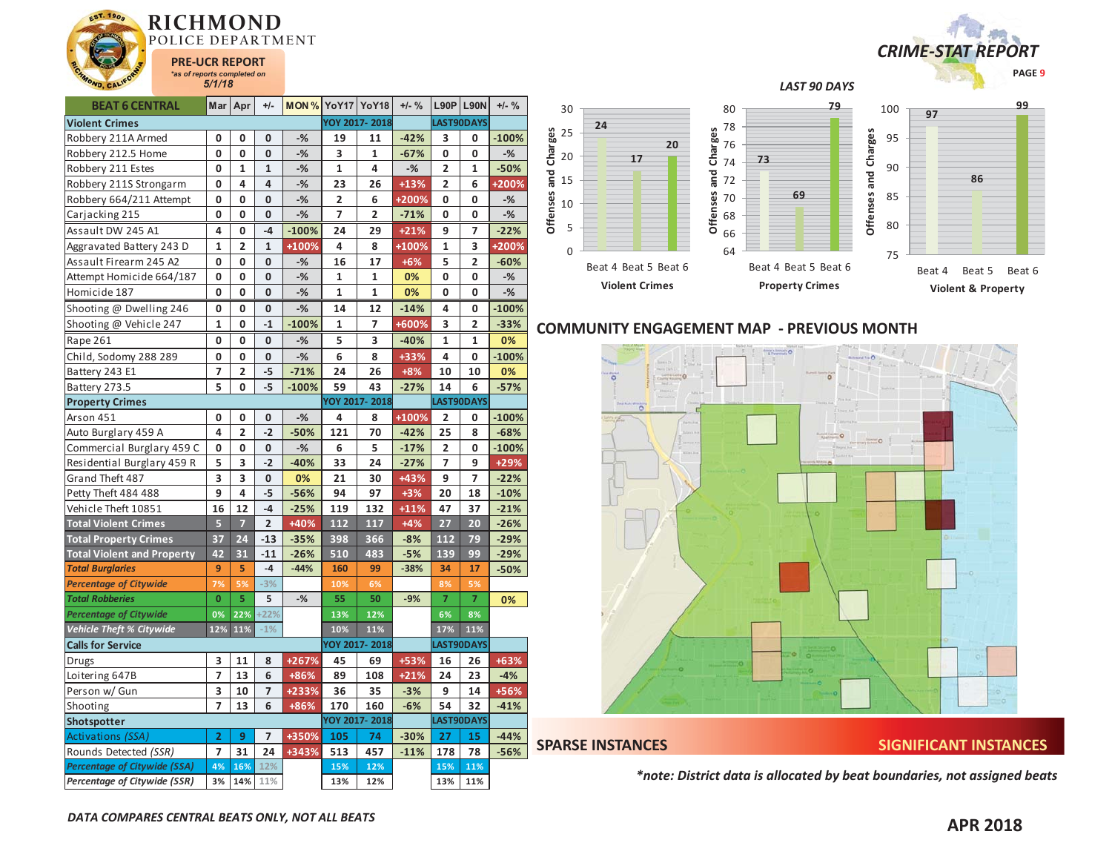

| <b>BEAT 6 CENTRAL</b>               | Mar            | Apr                     | $+/-$                   | <b>MON % YoY17 YoY18</b> |                         |                | $+/-$ % |                | <b>L90P L90N</b> | $+/-$ % |
|-------------------------------------|----------------|-------------------------|-------------------------|--------------------------|-------------------------|----------------|---------|----------------|------------------|---------|
| <b>Violent Crimes</b>               |                |                         |                         |                          |                         | YOY 2017-2018  |         |                | LAST90DAYS       |         |
| Robbery 211A Armed                  | 0              | 0                       | $\mathbf 0$             | $-%$                     | 19                      | 11             | $-42%$  | 3              | 0                | $-100%$ |
| Robbery 212.5 Home                  | 0              | 0                       | $\mathbf 0$             | -%                       | 3                       | 1              | $-67%$  | 0              | 0                | $-%$    |
| Robbery 211 Estes                   | 0              | $\mathbf{1}$            | $\mathbf 1$             | $-%$                     | $\mathbf 1$             | 4              | $-%$    | 2              | $\mathbf{1}$     | $-50%$  |
| Robbery 211S Strongarm              | $\mathbf{0}$   | 4                       | $\overline{\mathbf{4}}$ | $-$ %                    | 23                      | 26             | $+13%$  | $\overline{2}$ | 6                | +200%   |
| Robbery 664/211 Attempt             | 0              | 0                       | $\mathbf 0$             | $-%$                     | $\overline{\mathbf{2}}$ | 6              | +200%   | 0              | 0                | $-%$    |
| Carjacking 215                      | 0              | $\mathbf 0$             | $\mathbf{0}$            | $-%$                     | 7                       | $\overline{2}$ | $-71%$  | 0              | 0                | $-%$    |
| Assault DW 245 A1                   | 4              | 0                       | $-4$                    | $-100%$                  | 24                      | 29             | $+21%$  | 9              | 7                | $-22%$  |
| Aggravated Battery 243 D            | $\mathbf{1}$   | $\overline{2}$          | $\mathbf{1}$            | +100%                    | 4                       | 8              | +100%   | $\mathbf{1}$   | 3                | +200%   |
| Assault Firearm 245 A2              | 0              | 0                       | $\mathbf{0}$            | $-%$                     | 16                      | 17             | $+6%$   | 5              | $\overline{2}$   | $-60%$  |
| Attempt Homicide 664/187            | 0              | 0                       | $\mathbf{0}$            | $-%$                     | $\mathbf{1}$            | $\mathbf{1}$   | 0%      | 0              | 0                | $-$ %   |
| Homicide 187                        | 0              | 0                       | 0                       | $-%$                     | 1                       | 1              | 0%      | 0              | 0                | $-%$    |
| Shooting @ Dwelling 246             | 0              | 0                       | 0                       | $-%$                     | 14                      | 12             | $-14%$  | 4              | 0                | $-100%$ |
| Shooting @ Vehicle 247              | $\mathbf 1$    | 0                       | $-1$                    | $-100%$                  | $\mathbf 1$             | 7              | +600%   | 3              | 2                | $-33%$  |
| Rape 261                            | 0              | 0                       | 0                       | -%                       | 5                       | 3              | $-40%$  | 1              | 1                | 0%      |
| Child, Sodomy 288 289               | 0              | 0                       | 0                       | $-$ %                    | 6                       | 8              | +33%    | 4              | 0                | $-100%$ |
| Battery 243 E1                      | 7              | $\overline{\mathbf{c}}$ | $-5$                    | $-71%$                   | 24                      | 26             | $+8%$   | 10             | 10               | 0%      |
| Battery 273.5                       | 5              | 0                       | $-5$                    | $-100%$                  | 59                      | 43             | $-27%$  | 14             | 6                | $-57%$  |
| <b>Property Crimes</b>              |                |                         |                         |                          |                         | YOY 2017-2018  |         |                | LAST90DAYS       |         |
| Arson 451                           | 0              | 0                       | 0                       | $-%$                     | 4                       | 8              | +100%   | 2              | 0                | $-100%$ |
| Auto Burglary 459 A                 | 4              | $\overline{2}$          | $-2$                    | $-50%$                   | 121                     | 70             | $-42%$  | 25             | 8                | $-68%$  |
| Commercial Burglary 459 C           | 0              | 0                       | 0                       | $-%$                     | 6                       | 5              | $-17%$  | $\overline{2}$ | 0                | $-100%$ |
| Residential Burglary 459 R          | 5              | 3                       | $-2$                    | $-40%$                   | 33                      | 24             | $-27%$  | $\overline{7}$ | 9                | +29%    |
| Grand Theft 487                     | 3              | 3                       | $\mathbf 0$             | 0%                       | 21                      | 30             | +43%    | 9              | 7                | $-22%$  |
| Petty Theft 484 488                 | 9              | 4                       | $-5$                    | $-56%$                   | 94                      | 97             | $+3%$   | 20             | 18               | $-10%$  |
| Vehicle Theft 10851                 | 16             | 12                      | $-4$                    | $-25%$                   | 119                     | 132            | $+11%$  | 47             | 37               | $-21%$  |
| <b>Total Violent Crimes</b>         | $\overline{5}$ | $\overline{7}$          | $\overline{2}$          | $+40%$                   | 112                     | 117            | $+4%$   | 27             | 20               | $-26%$  |
| <b>Total Property Crimes</b>        | 37             | 24                      | $-13$                   | $-35%$                   | 398                     | 366            | $-8%$   | 112            | 79               | $-29%$  |
| <b>Total Violent and Property</b>   | 42             | 31                      | $-11$                   | $-26%$                   | 510                     | 483            | $-5%$   | 139            | 99               | $-29%$  |
| <b>Total Burglaries</b>             | 9              | 5                       | $-4$                    | $-44%$                   | 160                     | 99             | $-38%$  | 34             | 17               | $-50%$  |
| <b>Percentage of Citywide</b>       | 7%             | 5%                      | $-3%$                   |                          | 10%                     | 6%             |         | 8%             | 5%               |         |
| <b>Total Robberies</b>              | $\mathbf{0}$   | 5                       | 5                       | $-$ %                    | 55                      | 50             | $-9%$   | 7              | $\overline{7}$   | 0%      |
| <b>Percentage of Citywide</b>       | 0%             | 22%                     | $+22%$                  |                          | 13%                     | 12%            |         | 6%             | 8%               |         |
| <b>Vehicle Theft % Citywide</b>     | 12%            | 11%                     | $-1%$                   |                          | 10%                     | 11%            |         | 17%            | 11%              |         |
| <b>Calls for Service</b>            |                |                         |                         |                          |                         | YOY 2017-2018  |         |                | LAST90DAYS       |         |
| Drugs                               | 3              | 11                      | 8                       | +267%                    | 45                      | 69             | +53%    | 16             | 26               | +63%    |
| Loitering 647B                      | 7              | 13                      | 6                       | +86%                     | 89                      | 108            | $+21%$  | 24             | 23               | $-4%$   |
| Person w/ Gun                       | 3              | 10                      | $\overline{7}$          | +233%                    | 36                      | 35             | $-3%$   | 9              | 14               | +56%    |
| Shooting                            | $\overline{z}$ | 13                      | 6                       | +86%                     | 170                     | 160            | $-6%$   | 54             | 32               | $-41%$  |
| Shotspotter                         |                |                         |                         |                          |                         | YOY 2017-2018  |         |                | LAST90DAYS       |         |
| Activations (SSA)                   | 2              | 9                       | $\overline{7}$          | +350%                    | 105                     | 74             | $-30%$  | 27             | 15               | $-44%$  |
| Rounds Detected (SSR)               | $\overline{7}$ | 31                      | 24                      | +343%                    | 513                     | 457            | $-11%$  | 178            | 78               | $-56%$  |
| <b>Percentage of Citywide (SSA)</b> | 4%             | 16%                     | 12%                     |                          | 15%                     | 12%            |         | 15%            | 11%              |         |
| Percentage of Citywide (SSR)        | 3%             | 14%                     | 11%                     |                          | 13%                     | 12%            |         | 13%            | 11%              |         |





## **COMMUNITY ENGAGEMENT MAP - PREVIOUS MONTH**



**Offenses and Charges**

Offenses and Charges

**SPARSE INSTANCES SIGNIFICANT INSTANCES** 

*\*note: District data is allocated by beat boundaries, not assigned beats*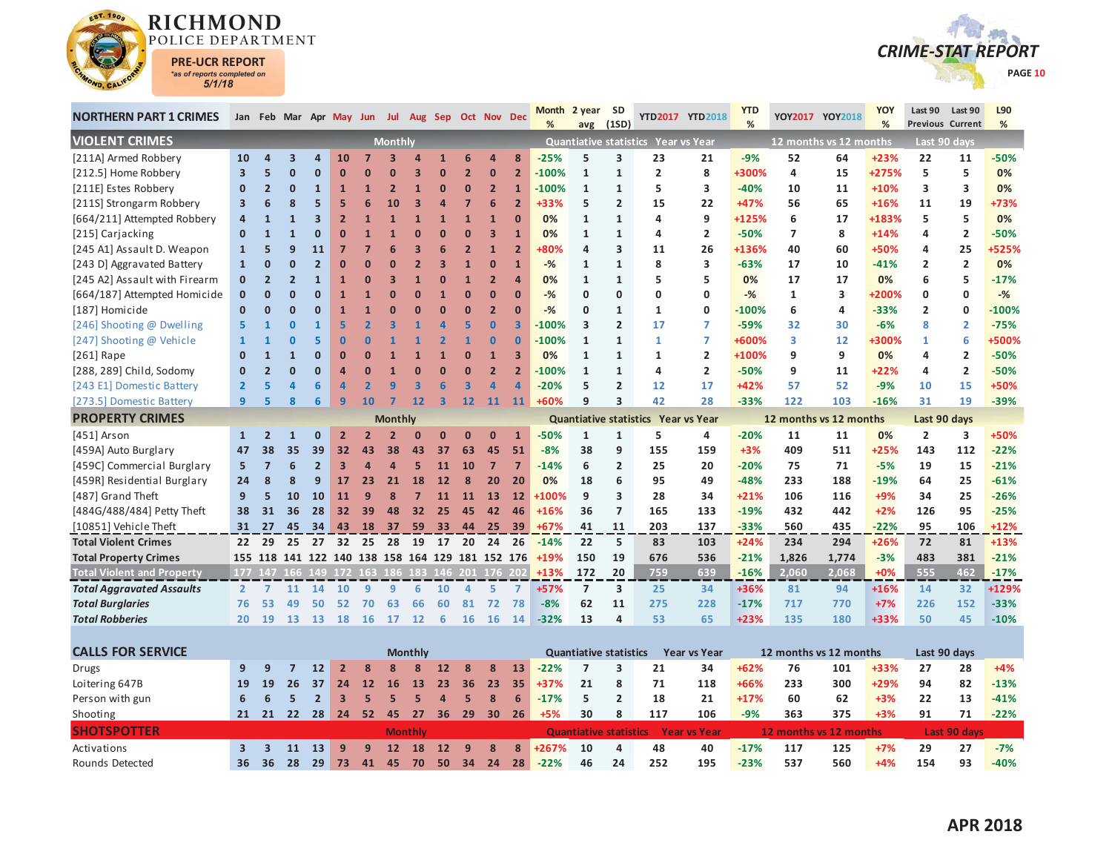



| <b>NORTHERN PART 1 CRIMES</b>     |                         |                | Jan Feb Mar Apr May Jun Jul Aug Sep Oct Nov Dec |                          |                |                         |                |                |                         |                         |                         |                         | Month   | 2 year SD                     |                          |                                     | YTD2017 YTD2018     | <b>YTD</b> |                         | YOY2017 YOY2018 | <b>YOY</b> | Last 90                 | Last 90        | L90     |
|-----------------------------------|-------------------------|----------------|-------------------------------------------------|--------------------------|----------------|-------------------------|----------------|----------------|-------------------------|-------------------------|-------------------------|-------------------------|---------|-------------------------------|--------------------------|-------------------------------------|---------------------|------------|-------------------------|-----------------|------------|-------------------------|----------------|---------|
|                                   |                         |                |                                                 |                          |                |                         |                |                |                         |                         |                         |                         | %       |                               | avg (1SD)                |                                     |                     | %          |                         |                 | %          | <b>Previous Current</b> |                | %       |
| <b>VIOLENT CRIMES</b>             |                         |                |                                                 |                          |                |                         | <b>Monthly</b> |                |                         |                         |                         |                         |         |                               |                          | Quantiative statistics Year vs Year |                     |            | 12 months vs 12 months  |                 |            |                         | Last 90 days   |         |
| [211A] Armed Robbery              | 10                      |                | $\overline{\mathbf{z}}$                         | $\overline{a}$           | 10             |                         |                |                |                         | 6                       | $\overline{4}$          | 8                       | $-25%$  | 5                             | 3                        | 23                                  | 21                  | $-9%$      | 52                      | 64              | $+23%$     | 22                      | 11             | -50%    |
| [212.5] Home Robbery              | $\overline{\mathbf{3}}$ |                | $\Omega$                                        | $\Omega$                 | $\Omega$       |                         | 0              |                | $\Omega$                | $\overline{2}$          | $\bf{0}$                | $\overline{2}$          | $-100%$ | $\mathbf{1}$                  | $\mathbf{1}$             | $\overline{2}$                      | 8                   | +300%      | 4                       | 15              | +275%      | 5                       | 5              | 0%      |
| [211E] Estes Robbery              | $\mathbf{0}$            | $\overline{2}$ | $\Omega$                                        |                          | 1              |                         | 2              | $\mathbf{1}$   | $\mathbf{0}$            | $\bf{0}$                | $\overline{2}$          |                         | $-100%$ | $\mathbf{1}$                  | $\mathbf{1}$             | 5                                   | 3                   | $-40%$     | 10                      | 11              | $+10%$     | 3                       | 3              | 0%      |
| [211S] Strongarm Robbery          | $\overline{\mathbf{3}}$ |                |                                                 |                          | 5              | 6                       | 10             | в              | Δ                       |                         | 6                       | $\overline{2}$          | +33%    | 5                             | $\overline{2}$           | 15                                  | 22                  | +47%       | 56                      | 65              | $+16%$     | 11                      | 19             | +73%    |
| [664/211] Attempted Robbery       | $\overline{a}$          |                |                                                 |                          | $\overline{2}$ |                         | 1              |                |                         | $\overline{1}$          | $\mathbf{1}$            | $\overline{0}$          | 0%      | $\mathbf{1}$                  | $\mathbf{1}$             | 4                                   | 9                   | +125%      | 6                       | 17              | +183%      | 5                       | 5              | 0%      |
| [215] Carjacking                  | $\Omega$                |                |                                                 |                          |                |                         |                |                | $\overline{ }$          | $\overline{ }$          | $\overline{\mathbf{3}}$ | $\mathbf{1}$            | 0%      | $\mathbf{1}$                  | $\mathbf{1}$             | 4                                   | $\overline{2}$      | $-50%$     | $\overline{7}$          | 8               | $+14%$     | 4                       | $\overline{2}$ | $-50%$  |
| [245 A1] Assault D. Weapon        | $\mathbf{1}$            |                |                                                 | 11                       |                |                         |                |                |                         | $\overline{\mathbf{z}}$ | $\mathbf{1}$            | $\overline{2}$          | +80%    | 4                             | 3                        | 11                                  | 26                  | +136%      | 40                      | 60              | +50%       | 4                       | 25             | +525%   |
| [243 D] Aggravated Battery        | $\mathbf{1}$            | n              |                                                 |                          |                |                         |                |                | З                       | 1                       | $\bf{0}$                | 1                       | $-%$    | 1                             | $\mathbf{1}$             | 8                                   | 3                   | $-63%$     | 17                      | 10              | $-41%$     | $\overline{2}$          | $\overline{2}$ | 0%      |
| [245 A2] Assault with Firearm     | $\mathbf{0}$            | $\overline{2}$ |                                                 |                          |                | n                       |                |                | $\Omega$                | $\overline{1}$          | $\overline{2}$          | $\overline{\mathbf{A}}$ | 0%      | $\mathbf{1}$                  | $\mathbf{1}$             | 5                                   | 5                   | 0%         | 17                      | 17              | 0%         | 6                       | 5              | $-17%$  |
| [664/187] Attempted Homicide      | $\mathbf{0}$            | n              |                                                 | O                        |                |                         | n              | $\Omega$       | $\overline{1}$          | $\Omega$                | $\overline{0}$          | $\Omega$                | $-%$    | $\mathbf 0$                   | $\Omega$                 | $\Omega$                            | 0                   | $-%$       | $\mathbf{1}$            | 3               | +200%      | $\Omega$                | 0              | $-%$    |
| [187] Homicide                    | $\mathbf{0}$            | n              | n                                               | O                        | $\mathbf{1}$   |                         |                | $\overline{0}$ | $\overline{0}$          | $\Omega$                | $\overline{2}$          | $\overline{0}$          | $-%$    | $\mathbf 0$                   | $\mathbf{1}$             | $\mathbf{1}$                        | 0                   | $-100%$    | 6                       | 4               | $-33%$     | $\overline{2}$          | 0              | $-100%$ |
| [246] Shooting @ Dwelling         | 5.                      |                | $\Omega$                                        | $\mathbf{1}$             | 5              |                         |                |                | Δ                       | 5                       | $\overline{0}$          | 3                       | $-100%$ | 3                             | $\overline{2}$           | 17                                  | 7                   | $-59%$     | 32                      | 30              | $-6%$      | 8                       | $\overline{2}$ | $-75%$  |
| [247] Shooting @ Vehicle          | $\mathbf{1}$            |                |                                                 | 5                        | $\overline{0}$ | n                       |                |                |                         | $\mathbf{1}$            | $\Omega$                | $\bf{0}$                | $-100%$ | $\mathbf{1}$                  | $\mathbf{1}$             | 1                                   | $\overline{7}$      | +600%      | $\overline{\mathbf{3}}$ | 12              | +300%      | 1                       | 6              | +500%   |
| $[261]$ Rape                      | $\mathbf{0}$            |                |                                                 | $\Omega$                 | $\mathbf{0}$   |                         |                |                |                         | $\mathbf 0$             | 1                       | 3                       | 0%      | 1                             | $\mathbf{1}$             | 1                                   | $\overline{2}$      | +100%      | 9                       | 9               | 0%         | 4                       | $\overline{2}$ | $-50%$  |
| [288, 289] Child, Sodomy          | $\mathbf{0}$            |                | ŋ                                               | $\Omega$                 | Δ              |                         |                |                | $\Omega$                | $\Omega$                | $\overline{2}$          | $\overline{2}$          | $-100%$ | 1                             | $\mathbf{1}$             | 4                                   | $\overline{2}$      | $-50%$     | 9                       | 11              | $+22%$     | 4                       | $\overline{2}$ | $-50%$  |
| [243 E1] Domestic Battery         | $\overline{2}$          |                |                                                 |                          |                |                         |                | 3              | ĥ                       | 3                       | $\overline{a}$          | Δ                       | $-20%$  | 5                             | $\overline{2}$           | 12                                  | 17                  | +42%       | 57                      | 52              | $-9%$      | 10                      | 15             | +50%    |
| [273.5] Domestic Battery          | 9                       | Б              | 8                                               | 6                        | 9              | 10                      | 7              | 12             | $\overline{\mathbf{3}}$ | 12                      | $\overline{11}$         | $\overline{11}$         | $+60%$  | q                             | 3                        | 42                                  | 28                  | $-33%$     | 122                     | 103             | $-16%$     | 31                      | 19             | $-39%$  |
| <b>PROPERTY CRIMES</b>            |                         |                |                                                 |                          |                |                         | <b>Monthly</b> |                |                         |                         |                         |                         |         | <b>Quantiative statistics</b> |                          |                                     | <b>Year vs Year</b> |            | 12 months vs 12 months  |                 |            | Last 90 days            |                |         |
| [451] Arson                       | $\mathbf{1}$            | $\overline{2}$ |                                                 | $\Omega$                 | $\overline{2}$ | $\overline{\mathbf{z}}$ |                | $\Omega$       | $\mathbf{0}$            | $\Omega$                | $\mathbf{0}$            | 1                       | $-50%$  | $\mathbf{1}$                  | $\mathbf{1}$             | 5                                   | 4                   | $-20%$     | 11                      | 11              | 0%         | $\overline{2}$          | 3              | +50%    |
| [459A] Auto Burglary              | 47                      | 38             | 35                                              | 39                       | 32             | 43                      | 38             | 43             | 37                      | 63                      | 45                      | 51                      | $-8%$   | 38                            | 9                        | 155                                 | 159                 | $+3%$      | 409                     | 511             | $+25%$     | 143                     | 112            | $-22%$  |
| [459C] Commercial Burglary        | 5                       |                |                                                 | $\overline{\phantom{a}}$ | 3              |                         | $\Delta$       | 5              | 11                      | 10                      | $\overline{7}$          | 7                       | $-14%$  | 6                             | $\overline{2}$           | 25                                  | 20                  | $-20%$     | 75                      | 71              | $-5%$      | 19                      | 15             | $-21%$  |
| [459R] Residential Burglary       | 24                      | $\mathbf{8}$   |                                                 | 9                        | 17             | 23                      | 21             | 18             | 12                      | 8                       | 20                      | 20                      | 0%      | 18                            | 6                        | 95                                  | 49                  | $-48%$     | 233                     | 188             | $-19%$     | 64                      | 25             | $-61%$  |
| [487] Grand Theft                 | 9                       |                | 10                                              | 10                       | 11             | q                       | 8              | 7              | 11                      | 11                      | 13                      | 12                      | +100%   | 9                             | 3                        | 28                                  | 34                  | +21%       | 106                     | 116             | $+9%$      | 34                      | 25             | $-26%$  |
| [484G/488/484] Petty Theft        | 38                      | 31             | 36                                              | 28                       | 32             | 39                      | 48             | 32             | 25                      | 45                      | 42                      | 46                      | $+16%$  | 36                            | 7                        | 165                                 | 133                 | $-19%$     | 432                     | 442             | $+2%$      | 126                     | 95             | $-25%$  |
| [10851] Vehicle Theft             | 31                      | 27             | 45                                              | 34                       | 43             | <b>18</b>               | 37             | 59             | 33 <sup>2</sup>         | 44                      | 25                      | 39                      | $+67%$  | 41                            | 11                       | 203                                 | 137                 | $-33%$     | 560                     | 435             | $-22%$     | 95                      | 106            | $+12%$  |
| <b>Total Violent Crimes</b>       | 22                      | 29             | 25                                              | 27                       | 32             | 25                      | 28             | 19             | 17                      | 20                      | 24                      | 26                      | $-14%$  | 22                            | 5.                       | 83                                  | 103                 | $+24%$     | 234                     | 294             | $+26%$     | 72                      | 81             | $+13%$  |
| <b>Total Property Crimes</b>      | 155                     |                | 118 141 122 140 138 158 164 129 181 152 176     |                          |                |                         |                |                |                         |                         |                         |                         | $+19%$  | 150                           | 19                       | 676                                 | 536                 | $-21%$     | 1,826                   | 1,774           | $-3%$      | 483                     | 381            | $-21%$  |
| <b>Total Violent and Property</b> |                         |                | 177 147 166 149 172 163 186 183 146 201 176 202 |                          |                |                         |                |                |                         |                         |                         |                         | $+13%$  | 172                           | 20                       | 759                                 | 639                 | $-16%$     | 2,060                   | 2,068           | $+0\%$     | 555                     | 462            | $-17%$  |
| <b>Total Aggravated Assaults</b>  | $\mathbf{2}$            |                | 11                                              | 14                       | 10             | 9                       | q              | 6              | 10                      | $\overline{a}$          | 5.                      | $\overline{7}$          | +57%    | $\overline{7}$                | 3                        | 25                                  | 34                  | +36%       | 81                      | 94              | $+16%$     | 14                      | 32             | +129%   |
| <b>Total Burglaries</b>           | 76                      | 53             | 49                                              | 50                       | 52             | 70                      | 63             | 66             | 60                      | 81                      | 72                      | 78                      | $-8%$   | 62                            | 11                       | 275                                 | 228                 | $-17%$     | 717                     | 770             | $+7%$      | 226                     | 152            | $-33%$  |
| <b>Total Robberies</b>            | 20                      | 19             | 13                                              | 13                       | 18             | <b>16</b>               | 17             | 12             | 6                       | 16                      | <b>16</b>               | 14                      | $-32%$  | 13                            | 4                        | 53                                  | 65                  | $+23%$     | 135                     | 180             | +33%       | 50                      | 45             | $-10%$  |
|                                   |                         |                |                                                 |                          |                |                         |                |                |                         |                         |                         |                         |         |                               |                          |                                     |                     |            |                         |                 |            |                         |                |         |
| <b>CALLS FOR SERVICE</b>          |                         |                |                                                 |                          |                |                         |                | <b>Monthly</b> |                         |                         |                         |                         |         | <b>Quantiative statistics</b> |                          |                                     | <b>Year vs Year</b> |            | 12 months vs 12 months  |                 |            | Last 90 days            |                |         |
| Drugs                             | 9                       |                |                                                 | 12                       |                |                         |                |                | 12                      | 8                       | 8                       | 13                      | $-22%$  | 7                             | 3                        | 21                                  | 34                  | +62%       | 76                      | 101             | +33%       | 27                      | 28             | $+4%$   |
| Loitering 647B                    | 19                      | 19             | 26                                              | 37                       | 24             | 12                      | 16             | 13             | 23                      | 36                      | 23                      | 35                      | $+37%$  | 21                            | 8                        | 71                                  | 118                 | +66%       | 233                     | 300             | +29%       | 94                      | 82             | $-13%$  |
| Dave a world by                   |                         |                |                                                 |                          |                |                         |                |                |                         |                         | $\Omega$                | $\epsilon$              | 1704    | r.                            | $\overline{\phantom{0}}$ | 10                                  | 24                  | $-4.70/$   | $\sim$                  | $\sim$          | .201       | $\sim$                  | 12             | 440/    |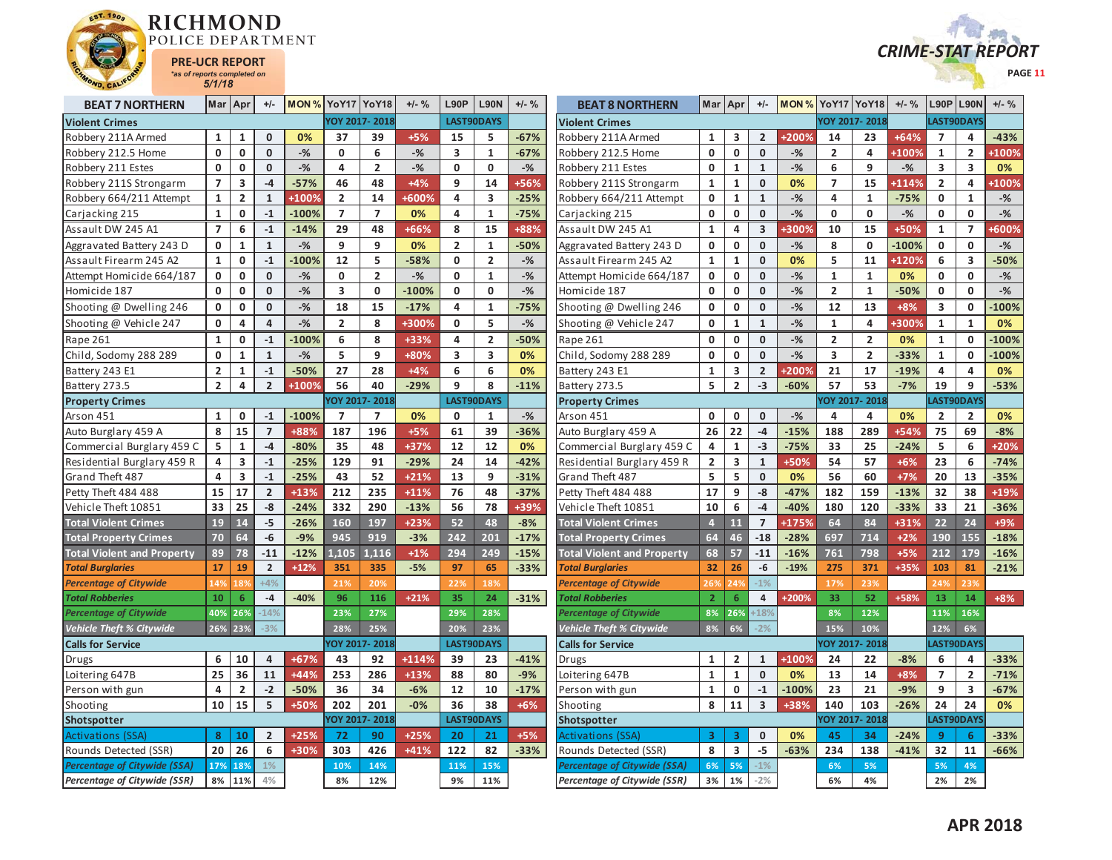



| <b>BEAT 7 NORTHERN</b>              | Mar            | Apr                     | $+/-$          | <b>MON % YoY17 YoY18</b> |                |                | $+/-$ % | L90P           | <b>L90N</b>             | $+/-$ % | <b>BEAT 8 NORTHERN</b>              | Mar                     | Apr                     | $+/-$          | <b>MON % YoY17 YoY18</b> |                         |                     | $+/-$ % | L90P           | <b>L90N</b>             | $+/-$ %      |
|-------------------------------------|----------------|-------------------------|----------------|--------------------------|----------------|----------------|---------|----------------|-------------------------|---------|-------------------------------------|-------------------------|-------------------------|----------------|--------------------------|-------------------------|---------------------|---------|----------------|-------------------------|--------------|
| <b>Violent Crimes</b>               |                |                         |                |                          |                | YOY 2017-2018  |         |                | <b>LAST90DAYS</b>       |         | <b>Violent Crimes</b>               |                         |                         |                |                          |                         | YOY 2017-2018       |         |                | LAST90DAYS              |              |
| Robbery 211A Armed                  | 1              | 1                       | $\mathbf 0$    | 0%                       | 37             | 39             | $+5%$   | 15             | 5                       | $-67%$  | Robbery 211A Armed                  | 1                       | 3                       | $\overline{2}$ | +2009                    | 14                      | 23                  | $+64%$  | $\overline{7}$ | 4                       | $-43%$       |
| Robbery 212.5 Home                  | $\mathbf{0}$   | $\mathbf 0$             | $\mathbf{0}$   | $-$ %                    | $\mathbf{0}$   | 6              | $-$ %   | $\overline{3}$ | $\mathbf{1}$            | $-67%$  | Robbery 212.5 Home                  | $\mathbf{0}$            | $\mathbf 0$             | $\mathbf{0}$   | $-$ %                    | $\overline{2}$          | 4                   | +100%   | $\mathbf{1}$   | $\overline{2}$          | +100%        |
| Robbery 211 Estes                   | $\mathbf 0$    | $\mathbf 0$             | $\mathbf 0$    | $-$ %                    | 4              | $\overline{2}$ | $-$ %   | $\mathbf{0}$   | 0                       | $-$ %   | Robbery 211 Estes                   | $\mathbf 0$             | $\mathbf{1}$            | $\mathbf{1}$   | $-$ %                    | 6                       | 9                   | $-%$    | 3              | 3                       | 0%           |
| Robbery 211S Strongarm              | $\overline{7}$ | 3                       | $-4$           | $-57%$                   | 46             | 48             | $+4%$   | 9              | 14                      | +56%    | Robbery 211S Strongarm              | $\mathbf{1}$            | $\mathbf{1}$            | $\mathbf{0}$   | 0%                       | $\overline{7}$          | 15                  | +114%   | $\overline{2}$ | 4                       | +100%        |
| Robbery 664/211 Attempt             | $\mathbf{1}$   | $\mathbf{2}$            | $\mathbf{1}$   | +100%                    | $\overline{2}$ | 14             | +600%   | 4              | $\overline{\mathbf{3}}$ | $-25%$  | Robbery 664/211 Attempt             | 0                       | 1                       | $\mathbf{1}$   | $-$ %                    | $\overline{4}$          | $\mathbf{1}$        | $-75%$  | $\mathbf 0$    | 1                       | -%           |
| Carjacking 215                      | $\mathbf{1}$   | 0                       | $-1$           | $-100%$                  | $\overline{7}$ | $\overline{7}$ | 0%      | 4              | $\mathbf{1}$            | $-75%$  | Carjacking 215                      | $\mathbf 0$             | $\mathbf 0$             | $\mathbf{0}$   | $-$ %                    | $\mathbf 0$             | 0                   | $-$ %   | $\mathbf 0$    | 0                       | $-$ %        |
| Assault DW 245 A1                   | $\overline{7}$ | 6                       | $-1$           | $-14%$                   | 29             | 48             | +66%    | 8              | 15                      | +88%    | Assault DW 245 A1                   | 1                       | 4                       | 3              | <b>+300%</b>             | 10                      | 15                  | +50%    | 1              | $\overline{ }$          | <b>+600%</b> |
| Aggravated Battery 243 D            | $\mathbf 0$    | $\mathbf{1}$            | $\mathbf{1}$   | $-$ %                    | 9              | 9              | 0%      | $\overline{2}$ | $\mathbf{1}$            | -50%    | Aggravated Battery 243 D            | $\mathbf 0$             | 0                       | $\mathbf{0}$   | $-$ %                    | 8                       | 0                   | $-100%$ | $\mathbf 0$    | 0                       | $-$ %        |
| Assault Firearm 245 A2              | $\mathbf{1}$   | $\mathbf{0}$            | $-1$           | $-100%$                  | 12             | 5              | $-58%$  | $\mathbf{0}$   | $\overline{2}$          | $-$ %   | Assault Firearm 245 A2              | $\mathbf{1}$            | $\mathbf{1}$            | $\Omega$       | 0%                       | 5                       | 11                  | +120%   | 6              | $\overline{\mathbf{3}}$ | $-50%$       |
| Attempt Homicide 664/187            | $\mathbf 0$    | 0                       | $\mathbf{0}$   | $-$ %                    | $\mathbf 0$    | $\overline{2}$ | $-$ %   | $\mathbf{0}$   | $\mathbf{1}$            | $-$ %   | Attempt Homicide 664/187            | $\mathbf 0$             | $\mathbf 0$             | $\mathbf{0}$   | $-$ %                    | $\mathbf{1}$            | $\mathbf{1}$        | 0%      | $\mathbf 0$    | 0                       | $-%$         |
| Homicide 187                        | $\mathbf 0$    | $\mathbf 0$             | $\mathbf{0}$   | $-$ %                    | 3              | $\mathbf 0$    | $-100%$ | $\mathbf 0$    | $\mathbf 0$             | $-$ %   | Homicide 187                        | $\mathbf 0$             | $\mathbf 0$             | $\mathbf{0}$   | $-$ %                    | $\overline{2}$          | $\mathbf{1}$        | $-50%$  | $\mathbf 0$    | $\mathbf{0}$            | $-$ %        |
| Shooting @ Dwelling 246             | 0              | 0                       | $\mathbf{0}$   | $-$ %                    | 18             | 15             | $-17%$  | 4              | $\mathbf{1}$            | $-75%$  | Shooting @ Dwelling 246             | 0                       | 0                       | $\mathbf{0}$   | $-%$                     | 12                      | 13                  | $+8%$   | 3              | 0                       | $-100%$      |
| Shooting @ Vehicle 247              | $\mathbf 0$    | 4                       | $\overline{a}$ | $-$ %                    | $\overline{2}$ | 8              | +300%   | $\mathbf{0}$   | 5                       | $-$ %   | Shooting @ Vehicle 247              | $\mathbf 0$             | $\mathbf{1}$            | $\mathbf{1}$   | $-$ %                    | $\mathbf{1}$            | 4                   | +300%   | $\mathbf{1}$   | 1                       | 0%           |
| Rape 261                            | $\mathbf{1}$   | 0                       | $-1$           | $-100%$                  | 6              | 8              | +33%    | 4              | $\overline{2}$          | $-50%$  | Rape 261                            | $\mathbf 0$             | $\mathbf 0$             | $\mathbf{0}$   | $-%$                     | $\overline{2}$          | $\overline{2}$      | 0%      | $\mathbf{1}$   | $\Omega$                | $-100%$      |
| Child, Sodomy 288 289               | $\mathbf 0$    | $\mathbf{1}$            | $\mathbf{1}$   | $-$ %                    | 5              | 9              | +80%    | 3              | $\overline{\mathbf{3}}$ | 0%      | Child, Sodomy 288 289               | $\mathbf{0}$            | $\mathbf 0$             | $\mathbf{0}$   | $-$ %                    | $\overline{\mathbf{3}}$ | $\overline{2}$      | $-33%$  | $\mathbf{1}$   | $\Omega$                | 100%         |
| Battery 243 E1                      | $\overline{2}$ | $\mathbf{1}$            | $\mathbf{-1}$  | $-50%$                   | 27             | 28             | $+4%$   | 6              | 6                       | 0%      | Battery 243 E1                      | $\mathbf{1}$            | 3                       | $\overline{2}$ | +200%                    | 21                      | 17                  | $-19%$  | 4              | 4                       | 0%           |
| Battery 273.5                       | $\overline{2}$ | 4                       | $\overline{2}$ | +100%                    | 56             | 40             | $-29%$  | 9              | 8                       | $-11%$  | Battery 273.5                       | 5                       | $\overline{2}$          | $-3$           | $-60%$                   | 57                      | 53                  | $-7%$   | 19             | 9                       | $-53%$       |
| <b>Property Crimes</b>              |                |                         |                |                          |                | YOY 2017-2018  |         |                | <b>LAST90DAYS</b>       |         | <b>Property Crimes</b>              |                         |                         |                |                          |                         | YOY 2017-2018       |         |                | LAST90DAYS              |              |
| Arson 451                           | $\mathbf{1}$   | $\mathbf 0$             | $-1$           | $-100%$                  | $\overline{7}$ | $\overline{7}$ | 0%      | $\mathbf{0}$   | 1                       | $-$ %   | Arson 451                           | $\mathbf 0$             | $\mathbf 0$             | $\mathbf{0}$   | $-$ %                    | 4                       | 4                   | 0%      | $\overline{2}$ | $\overline{2}$          | 0%           |
| Auto Burglary 459 A                 | 8              | 15                      | $\overline{7}$ | +88%                     | 187            | 196            | $+5%$   | 61             | 39                      | $-36%$  | Auto Burglary 459 A                 | 26                      | 22                      | $-4$           | $-15%$                   | 188                     | 289                 | +54%    | 75             | 69                      | $-8%$        |
| Commercial Burglary 459 C           | 5              | $\mathbf{1}$            | $-4$           | $-80%$                   | 35             | 48             | +37%    | 12             | 12                      | 0%      | Commercial Burglary 459 C           | 4                       | 1                       | $-3$           | $-75%$                   | 33                      | 25                  | $-24%$  | 5              | 6                       | $+20%$       |
| Residential Burglary 459 R          | 4              | $\overline{\mathbf{3}}$ | $\mathbf{-1}$  | $-25%$                   | 129            | 91             | $-29%$  | 24             | 14                      | $-42%$  | Residential Burglary 459 R          | $\overline{\mathbf{2}}$ | 3                       | $\mathbf 1$    | +50%                     | 54                      | 57                  | $+6%$   | 23             | 6                       | $-74%$       |
| Grand Theft 487                     | 4              | 3                       | $-1$           | $-25%$                   | 43             | 52             | $+21%$  | 13             | 9                       | $-31%$  | Grand Theft 487                     | 5                       | 5                       | $\mathbf{0}$   | 0%                       | 56                      | 60                  | $+7%$   | 20             | 13                      | $-35%$       |
| Petty Theft 484 488                 | 15             | 17                      | $\overline{2}$ | $+13%$                   | 212            | 235            | $+11%$  | 76             | 48                      | $-37%$  | Petty Theft 484 488                 | 17                      | 9                       | $-8$           | $-47%$                   | 182                     | 159                 | $-13%$  | 32             | 38                      | +19%         |
| Vehicle Theft 10851                 | 33             | 25                      | $-8$           | $-24%$                   | 332            | 290            | $-13%$  | 56             | 78                      | +39%    | Vehicle Theft 10851                 | 10                      | 6                       | $-4$           | $-40%$                   | 180                     | 120                 | $-33%$  | 33             | 21                      | $-36%$       |
| <b>Total Violent Crimes</b>         | 19             | 14                      | $-5$           | $-26%$                   | 160            | 197            | $+23%$  | 52             | 48                      | $-8%$   | <b>Total Violent Crimes</b>         | $\overline{a}$          | 11                      | $\overline{7}$ | +175%                    | 64                      | 84                  | +31%    | 22             | 24                      | +9%          |
| <b>Total Property Crimes</b>        | 70             | 64                      | $-6$           | $-9%$                    | 945            | 919            | $-3%$   | 242            | 201                     | $-17%$  | <b>Total Property Crimes</b>        | 64                      | 46                      | $-18$          | $-28%$                   | 697                     | 714                 | $+2%$   | 190            | 155                     | $-18%$       |
| <b>Total Violent and Property</b>   | 89             | 78                      | $-11$          | $-12%$                   | 1.105          | 1.116          | $+1%$   | 294            | 249                     | $-15%$  | <b>Total Violent and Property</b>   | 68                      | 57                      | $-11$          | $-16%$                   | 761                     | 798                 | $+5%$   | 212            | 179                     | $-16%$       |
| <b>Total Burglaries</b>             | 17             | 19                      | $\overline{2}$ | $+12%$                   | 351            | 335            | $-5%$   | 97             | 65                      | $-33%$  | <b>Total Burglaries</b>             | 32                      | 26                      | $-6$           | $-19%$                   | 275                     | 371                 | +35%    | 103            | 81                      | $-21%$       |
| <b>Percentage of Citywide</b>       | 14%            | 18%                     | $+4%$          |                          | 21%            | 20%            |         | 22%            | 18%                     |         | <b>Percentage of Citywide</b>       | 269                     | 24                      | $-1%$          |                          | 17%                     | 23%                 |         | 24%            | 239                     |              |
| <b>Total Robberies</b>              | 10             | 6                       | $-4$           | $-40%$                   | 96             | 116            | $+21%$  | 35             | 24                      | $-31%$  | <b>Total Robberies</b>              | $\overline{2}$          | 6                       | $\overline{4}$ | +200%                    | 33                      | 52                  | +58%    | 13             | 14                      | $+8%$        |
| <b>Percentage of Citywide</b>       | 40%            | 26%                     | $-14%$         |                          | 23%            | 27%            |         | 29%            | 28%                     |         | <b>Percentage of Citywide</b>       | 8%                      | 26%                     | $+189$         |                          | 8%                      | 12%                 |         | 11%            | 16%                     |              |
| <b>Vehicle Theft % Citywide</b>     |                | 26% 23%                 | $-3%$          |                          | 28%            | 25%            |         | 20%            | 23%                     |         | <b>Vehicle Theft % Citywide</b>     | 8%                      | 6%                      | $-2%$          |                          | 15%                     | 10%                 |         | 12%            | 6%                      |              |
| <b>Calls for Service</b>            |                |                         |                |                          |                | YOY 2017-2018  |         |                | <b>LAST90DAYS</b>       |         | <b>Calls for Service</b>            |                         |                         |                |                          |                         | <b>OY 2017-2018</b> |         |                | LAST90DAYS              |              |
| <b>Drugs</b>                        | 6              | 10                      | $\overline{4}$ | $+67%$                   | 43             | 92             | $+114%$ | 39             | 23                      | $-41%$  | Drugs                               | $\mathbf{1}$            | $\overline{\mathbf{2}}$ | $\mathbf{1}$   | +100%                    | 24                      | 22                  | $-8%$   | 6              | 4                       | $-33%$       |
| Loitering 647B                      | 25             | 36                      | 11             | +44%                     | 253            | 286            | $+13%$  | 88             | 80                      | $-9%$   | Loitering 647B                      | $\mathbf{1}$            | $\mathbf{1}$            | $\mathbf{0}$   | 0%                       | 13                      | 14                  | $+8%$   | $\overline{7}$ | $\overline{2}$          | $-71%$       |
| Person with gun                     | 4              | $\mathbf{2}$            | $-2$           | $-50%$                   | 36             | 34             | $-6%$   | 12             | 10                      | $-17%$  | Person with gun                     | $\mathbf 1$             | $\pmb{0}$               | $\mathbf{-1}$  | $-100%$                  | 23                      | 21                  | $-9%$   | 9              | 3                       | $-67%$       |
| Shooting                            | 10             | 15                      | 5              | +50%                     | 202            | 201            | $-0%$   | 36             | 38                      | $+6%$   | Shooting                            | 8                       | 11                      | 3              | +38%                     | 140                     | 103                 | $-26%$  | 24             | 24                      | 0%           |
| Shotspotter                         |                |                         |                |                          |                | YOY 2017-2018  |         |                | <b>LAST90DAYS</b>       |         | Shotspotter                         |                         |                         |                |                          |                         | OY 2017-2018        |         |                | LAST90DAYS              |              |
| Activations (SSA)                   | 8              | 10                      | $\overline{2}$ | $+25%$                   | 72             | 90             | $+25%$  | 20             | 21                      | +5%     | Activations (SSA)                   | 3                       | 3                       | $\Omega$       | 0%                       | 45                      | 34                  | $-24%$  | -9             | 6                       | $-33%$       |
| Rounds Detected (SSR)               | 20             | 26                      | 6              | +30%                     | 303            | 426            | $+41%$  | 122            | 82                      | $-33%$  | Rounds Detected (SSR)               | 8                       | $\overline{\mathbf{3}}$ | $-5$           | $-63%$                   | 234                     | 138                 | $-41%$  | 32             | 11                      | $-66%$       |
| <b>Percentage of Citywide (SSA)</b> | 17%            | 18%                     | 1%             |                          | 10%            | 14%            |         | 11%            | 15%                     |         | <b>Percentage of Citywide (SSA)</b> | 6%                      | 5%                      | $-1%$          |                          | 6%                      | 5%                  |         | 5%             | 4%                      |              |
| <b>Percentage of Citywide (SSR)</b> | 8%             | 11%                     | 4%             |                          | 8%             | 12%            |         | 9%             | 11%                     |         | <b>Percentage of Citywide (SSR)</b> | 3%                      | 1%                      | $-2%$          |                          | 6%                      | 4%                  |         | 2%             | 2%                      |              |